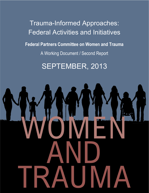Trauma-Informed Approaches: Federal Activities and Initiatives **Federal Partners Committee on Women and Trauma** A Working Document / Second Report

SEPTEMBER, 2013

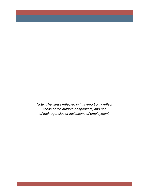*Note: The views reflected in this report only reflect those of the authors or speakers, and not of their agencies or institutions of employment.*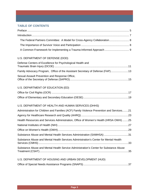## **TABLE OF CONTENTS**

| The Federal Partners Committee: A Model for Cross-Agency Collaboration 8                 |  |
|------------------------------------------------------------------------------------------|--|
|                                                                                          |  |
| A Common Framework for Implementing a Trauma-Informed Approach  9                        |  |
| U.S. DEPARTMENT OF DEFENSE (DOD)                                                         |  |
| Defense Centers of Excellence for Psychological Health and                               |  |
| Family Advocacy Program, Office of the Assistant Secretary of Defense (FAP)13            |  |
| Sexual Assault Prevention and Response Office,                                           |  |
| U.S. DEPARTMENT OF EDUCATION (ED)                                                        |  |
|                                                                                          |  |
|                                                                                          |  |
| U.S. DEPARTMENT OF HEALTH AND HUMAN SERVICES (DHHS)                                      |  |
| Administration for Children and Families (ACF) Family Violence Prevention and Services21 |  |
|                                                                                          |  |
| Health Resources and Services Administration, Office of Women's Health (HRSA OWH)25      |  |
|                                                                                          |  |
|                                                                                          |  |
| Substance Abuse and Mental Health Services Administration (SAMHSA) 31                    |  |
| Substance Abuse and Mental Health Services Administration's Center for Mental Health     |  |
| Substance Abuse and Mental Health Service Administration's Center for Substance Abuse    |  |
| U.S. DEPARTMENT OF HOUSING AND URBAN DEVELOPMENT (HUD)                                   |  |
|                                                                                          |  |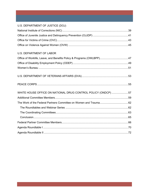# U.S. DEPARTMENT OF JUSTICE (DOJ)

| <b>U.S. DEPARTMENT OF LABOR</b>                               |  |
|---------------------------------------------------------------|--|
|                                                               |  |
|                                                               |  |
|                                                               |  |
|                                                               |  |
|                                                               |  |
| WHITE HOUSE OFFICE ON NATIONAL DRUG CONTROL POLICY (ONDCP) 57 |  |
|                                                               |  |
|                                                               |  |
|                                                               |  |
|                                                               |  |
|                                                               |  |
|                                                               |  |
|                                                               |  |
|                                                               |  |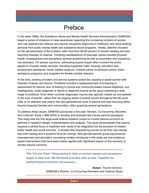# Preface

In the early 1990s, the Substance Abuse and Mental Health Services Administration (SAMHSA) began a series of initiatives to raise awareness regarding the increasing numbers of women who had experienced violence and trauma, frequently beginning in childhood, who were seeking services from public mental health and substance abuse programs. Initially, attention focused on the pervasiveness of the problem, with more than 80-90 percent of women seeking services reporting histories of violence. Troubling manifestations of traumatic stress included physical health consequences and precipitous spiritual questioning as well as psychiatric and substance use disorders. For women survivors, addressing trauma issues often involved the entire spectrum of public health services, including supported "safe" housing, education and employment assistance, family welfare supports, criminal justice involvement and/or victim assistance programs, and programs for female combat veterans.

At the time, existing providers and service systems lacked the capacity to assist women with histories of abuse and trauma. Problems included a widespread lack of screening or assessment for trauma; lack of training in clinical and community-based trauma treatment; and misdiagnosis, under-diagnosis or failure to diagnose trauma as the issue underlying a wide range of problems. Even when correctly diagnosed, trauma was typically viewed as one episode in the lives of women, rather than an ongoing series of events woven throughout the life cycle. Little or no attention was paid to the inter-generational cycle of trauma that kept recurring within trauma-impacted families and communities, often spanning several generations.

To address these issues, SAMHSA sponsored a five-year "Women, Co-Occurring Disorders and Violence" Study (1998-2003) to develop and evaluate new trauma service paradigms. This study was the first large-scale federal research project to involve trauma survivors as partners in research design, implementation and analysis. The study demonstrated that trauma requires a central focus in treatment and needs to be integrated into the provision of related public health and social services. It showed that empowering women to tell their own stories was both healing and a powerful force for change. New gender-specific group psychosocial empowerment and education counseling models introduced in the study are now evidencebased interventions that have been widely applied with significant impact on the recovery of women trauma survivors.

*The "Us and Them" thing started to fade as mutual respect and acceptance began to take over. We felt heard and were able to hear. Together we worked toward solutions and answers…*

> **Susan**, *Trauma Survivor,* SAMHSA's Women, Co-Occurring Disorders and Violence Study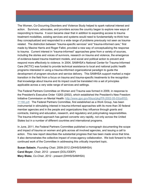The Women, Co-Occurring Disorders and Violence Study helped to spark national interest and action. Survivors, advocates, and providers across the country began to explore new ways of responding to trauma. It soon became clear that in addition to expanding access to trauma treatment modalities, existing services and systems would need to fundamentally re-think how they conceptualized and responded to a wide range of problems previously not seen as traumarelated. The distinction between "trauma-specific services" and "trauma-informed care," first made by Maxine Harris and Roger Fallot, provided a new way of conceptualizing the response to trauma. Current interest in "trauma-informed" approaches grew from a variety of sources, including the stories and voices of survivors, research on trauma and violence, the emergence of evidence-based trauma treatment models, and social and political action to prevent and respond more effectively to violence. In 2004, SAMHSA's National Center for Trauma-Informed Care (NCTIC) was funded to provide technical assistance to local and national public health programs interested in using a trauma-informed organizational paradigm to guide the development of program structure and service delivery. This SAMHSA support marked a major transition in the field from a focus on trauma and trauma-specific treatments to the recognition that knowledge about trauma and its impact could be translated into a set of principles applicable across a very wide range of services and settings.

The Federal Partners Committee on Women and Trauma was formed in 2009, in response to the President's Executive Order 13263 (2002), which established the President's New Freedom Initiative Commission on Mental Health: [http://www.gpo.gov/fdsys/pkg/FR-2002-05-03/pdf/02-](http://www.gpo.gov/fdsys/pkg/FR-2002-05-03/pdf/02-11166.pdf) [11166.pdf.](http://www.gpo.gov/fdsys/pkg/FR-2002-05-03/pdf/02-11166.pdf) The Federal Partners Committee, first established as a Work Group, has been instrumental in stimulating interest in trauma-informed approaches with its more than 30 federal member agencies and in the people and organizations they influence through grants and contracts, training and education, research, and regulatory and policymaking responsibilities. The trauma-informed approach has gained converts very rapidly, not only across the United States but in a number of different countries and international programs.

In June, 2011, the Federal Partners Committee published a monograph documenting the scope and impact of trauma on women and girls across all involved agencies, and issuing a call to action. This new report describes the substantial progress that has been made since that time. It also demonstrates the collective impact of cross-agency collaboration. We look forward to the continued work of the Committee in addressing this critically important topic.

**Susan Salasin**, *Founding Chair*, 2009-2012 (DHHS/SAMHSA) **Carol Boyer**, *Chair*, 2012 - present (DOL/ODEP) **Mary Blake**, *Co-Chair*, 2012 - present (DHHS/SAMHSA)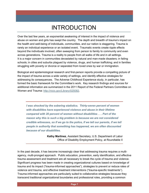# INTRODUCTION

Over the last few years, an exponential awakening of interest in the impact of violence and abuse on women and girls has swept the country. The depth and breadth of trauma's impact on the health and well-being of individuals, communities, and our nation is staggering. Trauma is rarely an individual experience or an isolated event. Traumatic events create ripple effects beyond the individuals involved, often sweeping from person to family to community and even across generations. Trauma is a reality to people from all walks of life and in all settings. It is a major concern in communities devastated by natural and man-made disasters; in failing schools; in cities and suburbs plagued by violence, drugs, and human trafficking; and in families struggling with poverty or divorce or separated from loved ones by war or immigration.

Biological and epidemiological research and first-person reports provide a compelling picture of the impact of trauma across a wide variety of settings, and identify effective strategies for addressing its consequences. The Adverse Childhood Experience study, in particular, has formed the basic framework for the Committee's work. Key research findings and sources for additional information are summarized in the 2011 Report of the Federal Partners Committee on Women and Trauma: http://nicic.gov/Library/025082.

*I was shocked by the sobering statistics. Thirty-seven percent of women with disabilities have experienced violence and abuse in their lifetime compared with 20 percent of women without disabilities . . . Part of the reason why this is such a big problem is because we are not considered credible witnesses, so if we go to the police, if we tell our parents, if we tell people in authority that something has happened, we are often discounted because of our disabilities.*

> **Kathy Martinez**, Assistant Secretary, U.S. Department of Labor Office of Disability Employment Policy, at Roundtable II

In the past decade, it has become increasingly clear that addressing trauma requires a multiagency, multi-pronged approach. Public education, prevention, early identification, and effective trauma assessment and treatment are all necessary to break the cycle of trauma and violence. Significant progress has been made in creating organizational cultures based on knowledge of trauma and its impact ("trauma-informed approaches"), strategies to prevent or reduce rates of violence and trauma, and effective treatment interventions ("trauma-specific treatments"). Trauma-informed approaches are particularly suited to collaborative strategies because they transcend traditional organizational boundaries and professional roles, providing a common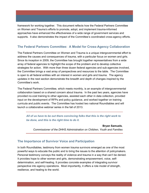framework for working together. This document reflects how the Federal Partners Committee on Women and Trauma's efforts to promote, adopt, and implement trauma-informed approaches have enhanced the effectiveness of a wide range of government services and supports. It also demonstrates the impact of the Committee's coordinated cross-agency efforts.

### **The Federal Partners Committee: A Model for Cross-Agency Collaboration**

The Federal Partners Committee on Women and Trauma is a unique intergovernmental effort to address the causes and consequences of trauma, with a particular focus on women and girls. Since its inception in 2009, the Committee has brought together representatives from a wide array of federal agencies to highlight the scope of the problem and to develop collective strategies for action. With more than three dozen federal agencies and sub-agencies involved, the Committee brings a vast array of perspectives and resources to the table. The Committee is open to all federal entities with an interest in women and girls and trauma. The agency updates in the next section demonstrate the breadth and depth of changes inspired by the Committee's work.

The Federal Partners Committee, which meets monthly, is an example of intergovernmental collaboration based on a shared concern about trauma. In the past two years, agencies have provided no-cost training to other agencies, assisted each other in data collection, provided input on the development of RFPs and policy guidance, and worked together on training curricula and public events. The Committee has hosted two national Roundtables and will launch a collaborative webinar series in the fall of 2013.

*All of us have to be out there convincing folks that this is the right work to be done, and this is the right time to do it.* 

**Bryan Samuels**, *Commissioner of the DHHS Administration on Children, Youth and Families*

#### **The Importance of Survivor Voice and Participation**

In both Roundtables, testimony from women trauma survivors emerged as one of the most powerful ways to educate the public and to bring the issues to the attention of policymakers. Personal testimony conveys the reality of violence and trauma in a way that can't be denied. It provides hope to other women and girls, demonstrating empowerment, voice, selfdetermination, and self-healing. It provides concrete examples of integrating survivor perspective into agency operations. Most importantly, it offers a role model of strength, resilience, and healing to the world.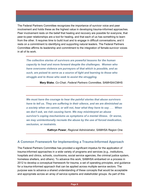The Federal Partners Committee recognizes the importance of survivor voice and peer involvement and holds these as the highest value in developing trauma-informed approaches. Peer involvement rests on the belief that healing and recovery are possible for everyone, that peer-to-peer relationships are a tool for healing, and that each of us has something to learn from the other. It requires time to build trust and to engage in difficult conversations, and it rests on a commitment to identifying and supporting natural leaders. The Federal Partners Committee affirms its leadership and commitment to the integration of female-survivor voices in all of its work.

*The collective stories of survivors are powerful lessons for the human capacity to heal and move forward despite the challenges. Women who have overcome violence are purveyors of that which is possible, and as such, are poised to serve as a source of light and learning to those who struggle and to those who seek to assist the struggling.* 

**Mary Blake**, *Co-Chair, Federal Partners Committee,* SAMHSA/CMHS

*We must have the courage to hear the painful stories that abuse survivors have to tell us. They are suffering in their silence, and we are diminished as a society when we cannot, or will not, hear what they have to say . . . When we don't ask, we risk causing harm. We may misinterpret an abuse survivor's coping mechanisms as symptoms of a mental illness. Or worse, we may unintentionally recreate the abuse by the use of forced medication, seclusion, or restraints.*

**Kathryn Power**, *Regional Administrator,* SAMHSA Region One

#### **A Common Framework for Implementing a Trauma-Informed Approach**

The Federal Partners Committee has provided a significant impetus for the application of trauma-informed approaches in a wide variety of programs and services (e.g., institutions, hospitals and clinics, schools, courtrooms, social service agencies, the criminal justice system, homeless shelters, and others). To advance this work, SAMHSA embarked on a process in 2012 to develop a conceptual framework for trauma, a set of operating principles, and guidance for a trauma-informed approach that can be applied across multiple service sectors. The purpose was to advance a shared understanding of these concepts that would be acceptable and appropriate across an array of service systems and stakeholder groups. As part of this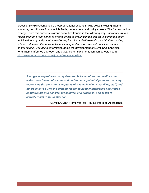process, SAMHSA convened a group of national experts in May 2012, including trauma survivors, practitioners from multiple fields, researchers, and policy makers. The framework that emerged from this consensus group describes trauma in the following way: *Individual trauma results from an event, series of events, or set of circumstances that are experienced by an individual as physically and/or emotionally harmful or life-threatening, and that has lasting adverse effects on the individual's functioning and mental, physical, social, emotional, and/or spiritual well-being.* Information about the development of SAMHSA's principles for a trauma-informed approach and guidance for implementation can be obtained at [http://www.samhsa.gov/traumajustice/traumadefinition/.](http://www.samhsa.gov/traumajustice/traumadefinition/)

.

*A program, organization or system that is trauma-informed realizes the widespread impact of trauma and understands potential paths for recovery; recognizes the signs and symptoms of trauma in clients, families, staff, and others involved with the system; responds by fully integrating knowledge about trauma into policies, procedures, and practices; and seeks to actively resist re-traumatization.* 

SAMHSA Draft Framework for Trauma-Informed Approaches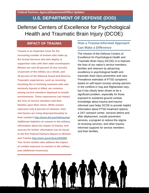# **U.S. DEPARTMENT OF DEFENSE (DOD)**

# Defense Centers of Excellence for Psychological Health and Traumatic Brain Injury (DCOE)

## **IMPACT OF TRAUMA**

**Trauma is an important issue for the increasing number of women who make up the Armed Services and who deploy in supportive roles with their male counterparts. Women are now 20 percent of new recruits, 14 percent of the military as a whole, and 18 percent of the National Guard and Reserve. Traumatic experiences, such as receiving incoming fire or knowing someone who was seriously injured or killed, are common among service members deployed to hostile environments. These experiences can impact the lives of service members and their families upon their return. While women represent only 8 percent of veterans, their risk factors are rising disproportionately to their numbers [http://www.dol.gov/wb/trauma/.](http://www.dol.gov/wb/trauma/) Additional statistics on women in the military, information about the impact of trauma, and sources for further information can be found in the first Federal Partners Report on Women and Trauma [http://nicic.gov/Library/025082.](http://nicic.gov/Library/025082) Two recent studies also address the impact of combat exposure on women in the military (see additional resources).**

### **How a Trauma-Informed Approach Can Make a Difference**

The mission of the Defense Centers of Excellence for Psychological Health and Traumatic Brain Injury (DCOE) is to improve the lives of our nation's service members, families and veterans by advancing excellence in psychological health and traumatic brain injury prevention and care. Prevalence estimates of PTSD symptoms based on self-report surveys among warriors in the conflicts in Iraq and Afghanistan vary, but it has clearly been shown to be a significant problem, especially for those exposed to sustained ground combat. Knowledge about trauma and traumainformed care helps DCOE to provide helpful information about PTSD treatment options, a 24/7 outreach center, services before and after deployment, suicide prevention services, a program to reduce the stigma of receiving services, and other traumainformed supports for service members and their families.

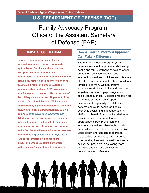# **U.S. DEPARTMENT OF DEFENSE (DOD)**

Family Advocacy Program, Office of the Assistant Secretary of Defense (FAP)

## **IMPACT OF TRAUMA**

**Trauma is an important issue for the increasing number of women who make up the Armed Services and who deploy in supportive roles with their male counterparts. It is relevant to both civilian and active duty female spouses who experience trauma as a result of domestic abuse or intimate partner violence (IPV). Women are now 20 percent of new recruits, 14 percent of the military as a whole, and 18 percent of the National Guard and Reserve. While women represent only 8 percent of veterans, their risk factors are rising disproportionately to their numbers [http://www.dol.gov/wb/trauma/.](http://www.dol.gov/wb/trauma/) Additional statistics on women in the military, information about the impact of trauma, and sources for further information can be found in the first Federal Partners Report on Women and Trauma [http://nicic.gov/Library/025082.](http://nicic.gov/Library/025082) Two recent studies also address the impact of combat exposure on women in the military (see additional resources).**

### **How a Trauma-Informed Approach Can Make a Difference**

The Family Advocacy Program (FAP) provides services that promote relationship, health and family wellness as well as offers prevention, early identification and intervention services to victims and offenders of child abuse and domestic abuse in military families. For many women, trauma experiences start early in life and can have longstanding mental, psychological and social consequences. Validated research on the effects of trauma on lifespan development, especially on relationship patterns and skills, health, and socioeconomic positioning, suggest that all FAP staff would benefit from core knowledge and competencies in trauma-informed approaches in both prevention and intervention services. Research has also demonstrated that offender behaviors, like victim behaviors, sometimes represent maladaptive responses to earlier trauma. Incorporating trauma-informed practices will assist FAP providers in delivering more sensitive and effective services for both victims and offenders.

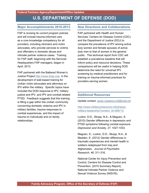### **Major Accomplishments 2010-2013**

FAP is revising its current program policies and will include trauma-informed care as a core knowledge competency for all providers, including clinicians and victim advocates, who provide services to victims and offenders in domestic abuse and intimate partner violence cases. Training for FAP staff, beginning with the Services' Headquarters FAP managers, began in April, 2013.

FAP partnered with the Battered Women's Justice Project<http://www.bwjp.org/>in the development of web-based training for civilian victim advocates and attorneys on IPV within the military. Specific topics have included the DOD response to IPV, military justice and IPV, and IPV and combat-related PTSD. Feedback suggests that this training is filling a gap within the civilian community concerning domestic violence and IPV in military families, trauma responses to combat experiences, and the impact of trauma on individuals and on family relationships.

#### **New Directions and Collaborations**

FAP partnered with Health and Human Services' Centers for Disease Control (CDC) and the Department of Justice (DOJ) to compare the prevalence of IPV among active duty women and female spouses of active duty men to that of women in the general public. This technical report from CDC will establish a prevalence baseline that will inform policy and resource decisions. These comparisons will be useful in helping DOD determine the need for universal IPV screening by medical practitioners and for training on trauma-informed practices for providers serving women.

### **Additional Resources**

Update contact: [janet.l.hawkins.mil@mail.mil](mailto:janet.l.hawkins.mil@mail.mil) 

[http://www.militaryonesource.mil/phases](http://www.militaryonesource.mil/phases-military-leadership?content_id=266712)military-leadership?content\_id=266712

Luxton, D.D., Skopp, N.A., & Maguen, S. (2010) Gender differences in depression and PTSD symptoms following combat exposure. *Depression and Anxiety, 27*, 1027-1033.

Maguen, S., Luxton, D.D., Skopp, N.A., & Madden, E. (2012) Gender differences in traumatic experiences and mental health in soldiers redeployed from Iraq and Afghanistan. *Journal of Psychiatric Research, 46*, 311-316.

National Center for Injury Prevention and Control, Centers for Disease Control and Prevention, (2010 Summary Report), National Intimate Partner Violence and Sexual Violence Survey (NISVIS).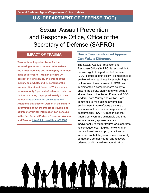# **U.S. DEPARTMENT OF DEFENSE (DOD)**

Sexual Assault Prevention and Response Office, Office of the Secretary of Defense (SAPRO)

## **IMPACT OF TRAUMA**

**Trauma is an important issue for the increasing number of women who make up the Armed Services and who deploy with their male counterparts. Women are now 20 percent of new recruits, 14 percent of the military as a whole, and 18 percent of the National Guard and Reserve. While women represent only 8 percent of veterans, their risk factors are rising disproportionately to their numbers [http://www.dol.gov/wb/trauma/.](http://www.dol.gov/wb/trauma/) Additional statistics on women in the military, information about the impact of trauma, and sources for further information can be found in the first Federal Partners Report on Women and Trauma [http://nicic.gov/Library/025082.](http://nicic.gov/Library/025082)** 

# **How a Trauma-Informed Approach Can Make a Difference**

The Sexual Assault Prevention and Response Office (SAPRO) is responsible for the oversight of Department of Defense (DOD) sexual assault policy. Its mission is to enable military readiness by establishing a culture free of sexual assault. DOD has implemented a comprehensive policy to ensure the safety, dignity and well being of all members of the Armed Force, and DOD leaders - both Military and civilian – are committed to maintaining a workplace environment that reinforces a culture of sexual assault prevention, response and accountability. SAPRO recognizes that trauma survivors are vulnerable and that service delivery approaches can inadvertently re-trigger trauma or exacerbate its consequences. SAPRO is working to make all services and programs traumainformed so that they can be more culturally competent, gender-neutral and recoveryoriented and to avoid re-traumatization.

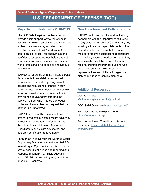### **Major Accomplishments 2010-2013**

The DoD Safe Helpline was launched to provide crisis support for victims of sexual assault. Administered by the nation's largest anti-sexual violence organization, the Helpline is available 24/7 worldwide. Users can "click, call or text" for anonymous and confidential support, access help via tablet computers and smart phones, and connect with professionals via phone or anonymous online chat.

SAPRO collaborated with the military service departments to establish an expedited process for individuals reporting sexual assault and requesting a change in duty station or assignment. Following a credible report of sexual assault, a presumption is established in favor of transferring the service member who initiated the request, or the service member can request that the offender be transferred.

SAPRO and the military services have standardized sexual assault victim advocacy across the Department, professionalized the roles of Sexual Assault Response Coordinators and Victim Advocates, and establish certification requirements.

Through an initiative with the Defense Equal Opportunity Management Institute, SAPRO trained Equal Opportunity (EO) Advisors on sexual assault definitions and reporting and response mechanisms. Basic education about SAPRO is now being integrated into ongoing EO courses.

#### **New Directions and Collaborations**

SAPRO continues its collaborative training partnership with the Department of Justice (DOJ) Office for Victims of Crime (OVC). By working with civilian rape crisis centers, the Department helps ensure that Service members receive assistance that considers their military-specific needs, even when they seek assistance off base. In addition, a regional training program for civilians was conducted by the SAPRO Program representatives and civilians in regions with high populations of Service members.

### **Additional Resources**

Update contact: [Maritza.m.saylewalker.civ@mail.mil](mailto:Maritza.m.saylewalker.civ@mail.mil)

DOD SAPRO website<http://www.sapr.mil/>

To access the Safe Helpline go to <https://safehelpline.org/>

For information on Transitioning Service members: [https://safehelpline.org/tsm](https://safehelpline.org/tsm-overview.cfm)[overview.cfm](https://safehelpline.org/tsm-overview.cfm)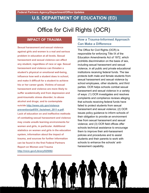# Office for Civil Rights (OCR)

# **IMPACT OF TRAUMA**

**Sexual harassment and sexual violence against girls and women is a real and serious problem in education at all levels. Sexual harassment and sexual violence can affect any student, regardless of race or age. Sexual harassment and violence can threaten a student's physical or emotional well-being, influence how well a student does in school, and make it difficult for a student to achieve his or her career goals. Victims of sexual harassment and violence are more likely to suffer academically and from depression and post-traumatic stress disorder; to abuse alcohol and drugs; and to contemplate suicide [http://www.cdc.gov/violence](http://www.cdc.gov/violenceprevention/pdf/SV_factsheet_2011-a.pdf) [prevention/pdf/SV\\_factsheet\\_2011-a.pdf.](http://www.cdc.gov/violenceprevention/pdf/SV_factsheet_2011-a.pdf) Lack of education on and ineffective methods of combating sexual harassment and violence may create unsafe learning environments for women and girls, in particular. Additional statistics on women and girls in the education system, information about the impact of trauma, and sources for further information can be found in the first Federal Partners Report on Women and Trauma [http://nicic.gov/Library/025082.](http://nicic.gov/Library/025082)** 

# **How a Trauma-Informed Approach Can Make a Difference**

The Office for Civil Rights (OCR) is responsible for enforcing Title IX of the Education Amendments Act of 1972, which prohibits discrimination on the basis of sex, including sexual harassment and sexual violence, in all public and private educational institutions receiving federal funds. The law protects both male and female students from sexual harassment and sexual violence by school employees, other students, and third parties. OCR helps schools combat sexual harassment and sexual violence in a variety of ways: (1) OCR investigates and resolves complaints and compliance reviews alleging that schools receiving federal funds have failed to protect students from sexual harassment and sexual violence; (2) OCR issues policy guidance to inform schools of their obligation to provide an environment free from sexual harassment and sexual violence; and (3) OCR field offices offer schools technical assistance to encourage them to improve their anti-harassment policies and procedures and to assist students and their parents to work with schools to enhance the schools' antiharassment capability.

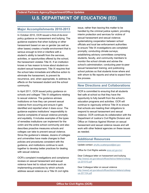### **Major Accomplishments 2010-2013**

In October 2010, OCR issued a first-of-its-kind policy guidance on harassment and bullying. The guidance explains that when bullying or other harassment based on sex or gender (as well as other bases) creates a hostile environment that is serious enough to limit or interfere with a student's ability to benefit from the services, activities, or opportunities offered by the school, the harassment violates Title IX. If an institution knows or has reason to know about student-onstudent sexual harassment. Title IX requires that the school take immediate and effective action to eliminate the harassment, to prevent its recurrence, and, when appropriate, to address its effects on the harassed student and the school community.

In April 2011, OCR issued policy guidance on schools and colleges' Title IX obligations relating to sexual violence. The guidance advises institutions on how they can prevent sexual violence from occurring and ensure it gets identified and reported when it does occur. The guidance explains institutions' responsibility to resolve complaints of sexual violence promptly and equitably. It includes examples of the types of remedies institutions can implement for the victim and the entire school community and also describes proactive measures schools and colleges can take to prevent sexual violence. Since the guidance's release, dozens of colleges and universities have made changes to their policies and procedures consistent with the guidance, and institutions continue to work together to develop better practices for dealing with sexual violence.

OCR's complaint investigations and compliance reviews on sexual harassment and sexual violence have led to robust remedies such as implementing procedures by which schools address sexual violence as a Title IX civil rights

issue, rather than leaving this matter to be handled by the criminal justice system; providing interim protection and services for victims of sexual harassment and sexual violence; systematizing cooperation between school officials and local law enforcement authorities to ensure Title IX investigations are completed promptly; conducting climate surveys; establishing advisory committees comprising students, faculty, and community members to monitor the school climate and advise the school's administration; conducting peer-to-peer sexual harassment training; and publicizing school policies so that students know where and with whom to file reports and what to expect from the process.

#### **New Directions and Collaborations**

OCR is committed to ensuring that all students feel safe at school so that they have the opportunity to fully benefit from the school's education programs and activities. OCR will continue to vigorously enforce Title IX to ensure that schools are meeting their obligations to respond to sexual harassment and sexual violence. OCR continues its collaboration with the Department of Justice's Civil Rights Division and Office on Violence Against Women on sexual harassment and sexual violence issues and will work with other federal agencies on these issues as needed.

#### **Additional Resources**

Update contact: [phyllis.scattergood@ed.gov](mailto:phyllis.scattergood@ed.gov) 

Office for Civil Rights website [www.ed.gov/ocr](http://www.ed.gov/ocr) 

Dear Colleague letter on harassment and bullying [http://www2.ed.gov/about/offices/list/ocr/letters/colleag](http://www2.ed.gov/about/offices/list/ocr/letters/colleague-201010.pdf) [ue-201010.pdf](http://www2.ed.gov/about/offices/list/ocr/letters/colleague-201010.pdf) 

Dear Colleague letter on sexual violence [http://www2.ed.gov/about/offices/list/ocr/letters/colleag](http://www2.ed.gov/about/offices/list/ocr/letters/colleague-201104.pdf) [ue-201104.pdf](http://www2.ed.gov/about/offices/list/ocr/letters/colleague-201104.pdf)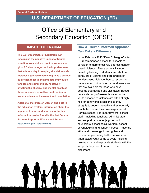# **U.S. DEPARTMENT OF EDUCATION (ED)**

# Office of Elementary and Secondary Education (OESE)

### **IMPACT OF TRAUMA**

**The U.S. Department of Education (ED) recognizes the negative impact of trauma resulting from violence against women and girls. ED also recognizes the important role that schools play in keeping all children safe. Violence against women and girls is a serious public health issue that impacts individuals, families and communities, negatively affecting the physical and mental health of those impacted, as well as contributing to lower academic achievement and completion.**

**Additional statistics on women and girls in the education system, information about the impact of trauma, and sources for further information can be found in the first Federal Partners Report on Women and Trauma [http://nicic.gov/Library/025082.](http://nicic.gov/Library/025082)** 

# **How a Trauma-Informed Approach Can Make a Difference**

In the February 2013 "Dear Colleague" letter, ED recommended actions for schools to consider to more effectively address genderbased violence. These actions include providing training to students and staff on behaviors of victims and perpetrators of gender-based violence, how to respond to trauma when incidents occur, and resources that are available for those who have become traumatized and victimized. Based on a wide body of research we know that youth exposed to violence are often at high risk for behavioral infractions as they struggle to cope – mentally and emotionally – with the trauma they have experienced. For this reason, it is imperative that school staff – including teachers, administrators, and support personnel (e.g., school counselors, school social workers, school psychologists, and school nurses) – have the skills and knowledge to recognize and respond appropriately to the behaviors of traumatized youth so as to avoid inflicting new trauma, and to provide students with the supports they need to return to the classroom.

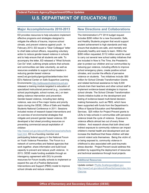### **Major Accomplishments 2010-2013**

ED provides resources to help educators implement effective programs and strategies designed to mitigate the effects of trauma, improve school climate, and prevent violence against youth. In February 2013, ED issued a "Dear Colleague" letter to chief state school officers, requesting voluntary action to reduce gender-based violence in schools and to help ensure that all students are safe. To accompany the letter, ED released a "What Schools Can Do" brief, outlining simple actions that schools and communities can take voluntarily, as well as resources available to support school leaders in reducing gender-based violence www2.ed.gov/policy/gen/guid/secletter/index.html ED's National Center on Safe Supportive Learning Environments [http://safesuppotivelearning.ed.gov](http://safesuppotivelearning.ed.gov/)  released a training module targeted to education of specialized instructional personnel (e.g., counselors,

school psychologists, school nurses, etc.) on teen dating violence intervention and prevention. Gender-based violence, including teen dating violence, was one of five major tracks and priority topics during the OESE, Office of Safe and Healthy Students National Conference in 2011. Sessions included review of research based interventions and an overview of environmental strategies that mitigate and prevent gender based violence. ED developed a fact sheet providing resources on preventing commercial sexual exploitation of children

#### [http://www2.ed.gov/about/offices/list/oese/oshs/facts](http://www2.ed.gov/about/offices/list/oese/oshs/factsheet.html) [heet.html.](http://www2.ed.gov/about/offices/list/oese/oshs/factsheet.html) ED is a founding member and

participating federal agency in the National Forum on Youth Violence Prevention. The Forum is a network of communities and federal agencies that work together, share information and build local capacity to prevent and reduce youth violence. In 2013, OESE made funding available through an interagency agreement with DOJ to provide resources for Forum locality schools to implement or expand the use of a Positive Behavioral Interventions and Support (PBIS) model to improve school climate and reduce violence.

### **New Directions and Collaborations**

The Administration's FY 2014 budget request includes \$280 million for a new Successful, Safe, and Healthy Students program that would support student achievement to high standards and help ensure that students are safe, and mentally and physically healthy and ready to learn. Within the \$280 million requested, \$112 million would be used to carry out several new school safety initiatives that are included in Now Is The Time, the President's plan to protect our children and our communities by reducing gun violence, including efforts to improve school emergency plans, create positive school climates, and counter the effects of pervasive violence on students. Two initiatives include: \$50 million for School Climate Transformation Grants and related technical assistance to help 8,000 schools train their teachers and other school staff to implement evidence-based strategies to improve school climate. The School Climate Transformation Grants initiative builds on the development and testing of evidence-based multi-tiered decisionmaking frameworks, such as PBIS, which have been supported with funds from the Department's Office of Special Education and Rehabilitative Services. \$25 million for Project Prevent grants to LEAs to help schools in communities with pervasive violence break the cycle of violence. Exposure to violence affects almost two out of every three children. And research shows that both direct and indirect exposure to community violence can impact children's mental health and development and can increase the likelihood that these children will later commit violent acts themselves. Being the victim of, or being exposed to, community violence in childhood is also associated with post-traumatic stress disorder. Project Prevent would address this problem by supporting the deployment of resources and technical assistance through local projects.

#### **Additional Resources**

Update contact[: Phyllis.Scattergood@ed.gov](mailto:Phyllis.Scattergood@ed.gov) [http://www2.ed.gov/about/offices/list/oese/index.htm](http://www2.ed.gov/about/offices/list/oese/index.html?src=oc) [l?src=oc](http://www2.ed.gov/about/offices/list/oese/index.html?src=oc)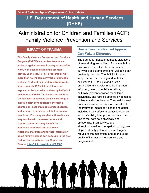Administration for Children and Families (ACF) Family Violence Prevention and Services

## **IMPACT OF TRAUMA**

**The Family Violence Prevention and Services Program (FVPSP) encounters trauma and violence against women in every aspect of its work, with each individual the program serves. Each year, FVPSP programs serve more than 1.2 million survivors of domestic violence (DV) and their children. Nationwide, approximately 15.5 million children are exposed to DV annually, and nearly half of all residents of FVPSP DV shelters are children. DV has been associated with a wide range of mental health consequences, including depression, post-traumatic stress disorder, and a range of behaviors related to trauma reactions. For many survivors, these issues may resolve with increased safety and support, but others may benefit from additional resources and treatment. Additional statistics and further information about family violence can be found in the first Federal Partners Report on Women and Trauma [http://nicic.gov/Library/025082.](http://nicic.gov/Library/025082)** 

# **How a Trauma-Informed Approach Can Make a Difference**

The traumatic impact of domestic violence is often enduring; regardless of how much time has passed since the abuse, a domestic survivor's social and emotional wellbeing can be deeply affected. The FVPSA Program supports national training and technical assistance (TA) to build and sustain organizational capacity in delivering traumainformed, developmentally sensitive, culturally relevant services for children, individuals, and families affected by domestic violence and other trauma. Trauma-informed domestic violence services are sensitive to the traumatic impact of violence and abuse, including how it affects a domestic violence survivor's ability to cope, to access services, and to feel safe both physically and emotionally. Such services are strengths‐based and non-pathologizing; take steps to identify potential trauma triggers, reduce re-traumatization; and attend to the quality of interactions for survivors and program staff.

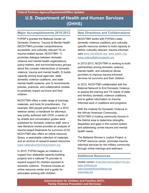#### **Major Accomplishments 2010-2013**

FVPSP's grantee the National Center on Domestic Violence, Trauma & Mental Health (NCDVTMH) provides comprehensive, accessible, and culturally relevant TA on trauma-related issues. NCDVTMH: 1) promotes dialogue between domestic violence and mental health organizations, policy-makers, and survivor/advocacy groups about the complex intersections of domestic violence, trauma and mental health; 2) builds capacity among local agencies, state domestic violence coalitions, and state mental health systems; and 3) recommends policies, practices, and collaborative models to positively impact survivors and their children.

NCDVTMH offers a wide range of trainings, materials, and tools for practitioners. For example, 800 people participated in a 2012 webinar series; a handbook for attorneys was jointly authored with OVW; a series of tip sheets and conversation guides were published for domestic violence staff, and a new literature review provides an analysis of trauma-based treatments for survivors of DV. NCDVTMH also offers an online resource library, a searchable collection of materials, and an archive of research-based resources. [www.nationalcenterdvtraumamh.org](http://www.nationalcenterdvtraumamh.org/)

In 2010, FVPSA began an initiative to support four statewide capacity-building projects and a national TA provider to expand support for children exposed to domestic violence. Products include an online resource center and a guide for advocates working with children.

#### **New Directions and Collaborations**

NCDVTMH works with FVPSA's state domestic violence coalitions and culturally specific resource centers to build capacity to deliver culturally relevant, trauma-informed care [www.dvinstitute.org,](http://www.dvinstitute.org/) [www.apiidv.org,](http://www.apiidv.org/) [www.nationallatinonetwork.org.](http://www.nationallatinonetwork.org/)

In 2012-2013, NCDVTMH is working to build partnerships among domestic violence, mental health, and substance abuse providers to improve trauma-informed services for survivors and their children.

In 2012, NCDVTMH collaborated with the National Network to End Domestic Violence to assess the training and TA needs of state and territory domestic violence coalitions, and to gather information on traumainformed work in coalitions and programs.

With the Institute for Domestic Violence in the African American Community, NCDVTMH is hosting community forums in the Detroit area to determine strengths, disparities and gaps in the current system and addressing unmet trauma and mental health needs.

The Battered Women's Justice Project, a FVPSP resource center, promotes traumainformed services for the military community through online trainings and webinars.

#### **Additional Resources**

Update contact: [shawndell.dawson@acf.hhs.gov](mailto:shawndell.dawson@acf.hhs.gov)  [www.VAWnet.org](http://www.vawnet.org/)  [www.futureswithoutviolence.org](http://www.futureswithoutviolence.org/)  [www.bwjp.org](http://www.bwjp.org/) 

**Administration for Children and Families (ACF), Family Violence Prevention and Services)**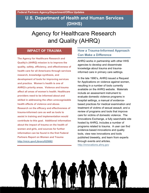# Agency for Healthcare Research and Quality (AHRQ)

### **IMPACT OF TRAUMA**

**The Agency for Healthcare Research and Quality's (AHRQ) mission is to improve the quality, safety, efficiency, and effectiveness of health care for all Americans through services research, knowledge synthesis, and development of tools for improving services and practice. Women's health is one of AHRQ's priority areas. Violence and trauma affect all areas of women's health. Healthcare providers need to be informed about and skilled in addressing the often unrecognizable health effects of violence and abuse. Research on the efficacy and effectiveness of trauma-informed care as well as tools to assist in training and implementation would contribute to this goal. Additional information about the impact of trauma on the health of women and girls, and sources for further information can be found in the first Federal Partners Report on Women and Trauma [http://nicic.gov/Library/025082.](http://nicic.gov/Library/025082)** 

## **How a Trauma-Informed Approach Can Make a Difference**

AHRQ works in partnership with other HHS agencies to develop and disseminate knowledge about trauma and traumainformed care in primary care settings.

In the late 1990's, AHRQ issued a Request for Applications on violence against women, resulting in a number of tools currently available on the AHRQ website. Materials include an assessment instrument to evaluate domestic violence programs in hospital settings, a manual of evidencebased practices for medical examination and treatment of victims of sexual assault, and a review of programs and tools that improve care for victims of domestic violence. The Innovations Exchange, a fully searchable site hosted by AHRQ, includes a number of programs related to trauma. A user can find evidence-based innovations and quality tools, view new innovations and tools published biweekly, and learn from experts through events and articles. [http://innovations.ahrq.gov](http://innovations.ahrq.gov/) 

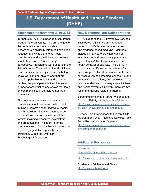### **Major Accomplishments 2010-2013**

In April 2013, AHRQ supported a conference grant to Yale University. The primary goal of the conference was to articulate and disseminate empirically-informed knowledge, attitudes, and skills that mental health practitioners working with trauma survivors should have from a "competency" perspective. Participants were experts in the field of trauma. They defined interdisciplinary competencies that apply across psychology, social work and psychiatry, and that are equally applicable to adults and children. Further, the participants defined the fewest number of essential competencies that focus on commonalities in the field rather than differences.

The competencies developed at this conference should serve as useful tools for training programs and for individual mental health providers. They will eventually be published and disseminated in multiple formats including brochures, newsletters, and presentations. The intent is for the competencies to form the basis for a trauma psychology guideline, specialty, or proficiency within the American Psychological Association.

#### **New Directions and Collaborations**

AHRQ supports the US Preventive Services Task Force (USPSTF), an independent panel of non-Federal experts in prevention and evidence-based medicine. Members include primary care providers such as internists, pediatricians, family physicians, gynecologists/obstetricians, nurses, and health behavior specialists. The USPSTF conducts scientific evidence reviews of a broad range of clinical preventive health care services (such as screening, counseling, and preventive medications) and develops recommendations for primary care clinicians and health systems. Currently, there are two recommendations related to trauma:

Screening for Intimate Partner Violence and Abuse of Elderly and Vulnerable Adults. [http://www.uspreventiveservicestaskforce.or](http://www.uspreventiveservicestaskforce.org/uspstf12/ipvelder/ipvelderfinalrs.htm) [g/uspstf12/ipvelder/ipvelderfinalrs.htm.](http://www.uspreventiveservicestaskforce.org/uspstf12/ipvelder/ipvelderfinalrs.htm)

Primary Care Interventions to Prevent Child Maltreatment: U.S. Preventive Services Task Force Recommendation Statement. [http://www.uspreventiveservicestaskforce.or](http://www.uspreventiveservicestaskforce.org/recommendations.htm) [g/recommendations.htm](http://www.uspreventiveservicestaskforce.org/recommendations.htm) 

#### **Additional Resources**

#### Update contact: [Charlotte.Mullican@ahrq.hhs.gov](mailto:Charlotte.Mullican@ahrq.hhs.gov)

<http://www.ahrq.gov/research/womenix.htm>

Academy on Violence and Abuse <http://www.avahealth.org/>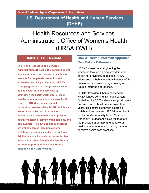# Health Resources and Services Administration, Office of Women's Health (HRSA OWH)

## **IMPACT OF TRAUMA**

**The Health Resources and Services Administration (HRSA) is the primary Federal agency for improving access to health care services for people who are uninsured, isolated or medically vulnerable. HRSA's strategic goals are to: 1) improve access to quality health care and services; 2) strengthen the health workforce; 3) build healthy communities; and 4) improve health equity. HRSA develops an annual publication, Women's Health USA, which is an easy-to-use collection of current and historical data related to the most pressing health challenges facing women, families, and communities. The 2012 edition highlighted several new topics including adverse childhood experiences and sexual violence. Additional statistics and sources for further information can be found in the first Federal Partners Report on Women and Trauma [http://nicic.gov/Library/025082.](http://nicic.gov/Library/025082)** 

# **How a Trauma-Informed Approach Can Make a Difference**

HRSA focuses on strengthening the workforce through training providers and safety net providers. In addition, HRSA addresses the behavioral health needs of the populations it serves through training on trauma-informed approaches.

In 2011, President Obama challenged HRSA-funded community health centers funded to hire 8,000 veterans (approximately one veteran per health center) over three years. This effort, along with emerging collaborations between HRSA-funded health centers and community based Veteran's Affairs (VA) outpatient clinics will facilitate the provision of primary and behavioral health care to veterans, including traumasensitive health care practices.

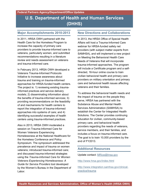### **Major Accomplishments 2010-2013**

In 2011, HRSA OWH partnered with the Health Care for the Homeless Program to increase the capacity of primary care providers to provide trauma-informed care to veterans, particularly women, and submitted recommendations resulting in a literature review and needs assessment on veterans and trauma-informed care.

In February 2013, HRSA OWH developed a Veterans Trauma-Informed Protocols Initiative to increase awareness about trauma and training on trauma-informed approaches for HRSA-funded health centers. The project is: 1) reviewing existing traumainformed practices and service delivery models; 2) disseminating information about the benefits of trauma-informed services; 3) providing recommendations on the feasibility of and mechanisms for health centers to report the integration of trauma-informed approaches into systems of care; and 4) identifying successful examples of health centers using trauma-informed practices.

Also in 2013, HRSA OWH moderated a session on Trauma-Informed Care for Women Veterans Experiencing Homelessness at the National Healthcare for the Homeless Conference and Policy Symposium. The symposium addressed the prevalence and impact of trauma on women veterans; introduced trauma-informed care; and discussed trauma-informed strategies using the *Trauma-Informed Care for Women Veterans Experiencing Homelessness: A Guide for Service Providers* tool developed by the Women's Bureau in the Department of Labor.

#### **New Directions and Collaborations**

In 2013, the HRSA Office of Special Health Affairs will host a Trauma-Informed Care webinar for HRSA-funded safety net providers (with subject matter experts from SAMHSA), and will implement a new project on Meeting the Behavioral Health Care Needs of Veterans that will incorporate trauma-informed approaches. The program will include a Certificate program and a selfdirected, 16-hour online course to train civilian behavioral health and primary care providers on military orientation and primary care and behavioral health issues affecting veterans and their families.

To address the behavioral health needs and the impact of trauma on the people they serve, HRSA has partnered with the Substance Abuse and Mental Health Services Administration (SAMHSA) to establish the Center for Integrated Health Solutions. The Center provides continuing education for civilian, community-based primary care, and behavioral health providers regarding the needs of veterans, service members, and their families, and includes a focus on trauma-informed care. The goal is to train 10,000 providers by the end of FY2013.

#### **Additional Resources**

Update contact: [MRice@hrsa.gov](mailto:MRice@hrsa.gov) 

<http://www.hrsa.gov/index.html>

[http://www.integration.samhsa.gov/clinical](http://www.integration.samhsa.gov/clinical-practice/trauma)[practice/trauma](http://www.integration.samhsa.gov/clinical-practice/trauma)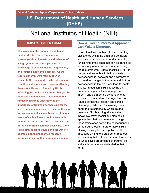# National Institutes of Health (NIH)

## **IMPACT OF TRAUMA**

**The mission of the National Institutes of Health (NIH) is to seek fundamental knowledge about the nature and behavior of living systems and the application of that knowledge to enhance health, lengthen life, and reduce illness and disability. As the federal government's main funder of research, NIH must address the full range of conditions, disorders and diseases affecting Americans. Research funded by NIH is informing the public how trauma changes the brain and alters behavior. In addition, NIHfunded research is underscoring the importance of trauma-informed care for the survivors and importance of tailoring the care for women as well as men because of unique needs of each, all to ensure that trauma is recognized and treated and that survivors are not re-victimized when they seek care. Many NIH Institutes place trauma and the ways to address it on their list of top research priorities as part of their strategic planning.** 

#### **How a Trauma-Informed Approach Can Make a Difference**

Several Institutes within NIH are promoting discoveries within the brain and behavioral sciences in order to better understand the functioning of the brain that can be translated to the study of mental disorders, including the role of trauma. More specifically, NIH is making strides in its efforts to understand how changes in behavior and environment can lead to changes in the brain and, in turn, how changes in the brain can lead to mental illness. In addition, NIH is focusing on understanding how these changes can inform (and be informed by) fundamental research to understand the trajectories of trauma across the lifespan and across diverse populations. By learning more about the trajectories by which trauma develops, NIH is aiming at stimulating innovative psychosocial and biomedical approaches that can prevent or change these trajectories before the consequences of the trauma occur. Furthermore, NIH is placing a strong focus on public health impact by aiming to create better methods for ensuring that its funded research reaches all whose lives are affected by trauma, as well as those who are dedicated to their care.

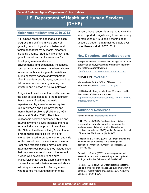#### **Major Accomplishments 2010-2013**

NIH-funded research has made significant progress in identifying a wide array of genetic, neurobiological, and behavioral factors that affect many mental disorders, including trauma. Studies have shown that genetic variations can increase risk for developing a mental disorder. Environmental and experiential influences, such as traumatic stress, have been shown to interact with specific genetic variations during sensitive periods of development, often in gender-specific ways, compounding risk for mental disorders by altering the

structure and function of neural pathways.

A significant development in health care over the past several decades is the recognition that a history of serious traumatic experiences plays an often-unrecognized role in women's and girls' physical and mental health problems (Felitti et al,1998; Messina & Grella, 2006). The interrelationship between substance abuse and trauma in women's lives indicates the need for a multi-focused approach to services. The National Institute on Drug Abuse funded a randomized controlled trial of a brief intervention used to prepare women and girls for the procedures of a medical rape exam. Post-rape forensic exams may exacerbate traumatic distress because they include cues that may serve as reminders of the assault. A video was developed to minimize anxiety/discomfort during examinations, and prevent increased substance use and abuse following sexual assault. Among women who reported marijuana use prior to the

assault, those randomly assigned to view the video reported a significantly lower frequency of marijuana at 1.5, 3 and 6 months postassault, a pattern that remained stable over time (Resnick et al., 2007; 2012).

#### **New Directions and Collaborations**

NIH public access database with listings for multiple categories of injury; traumatic brain injury; violence; and violence against women.

[http://report.nih.gov/categorical\\_spending.aspx](http://report.nih.gov/categorical_spending.aspx) 

NIH web portal [www.nih.gov](http://www.nih.gov/) 

Main website for the Office of Research on Women's Health<http://orwh.od.nih.gov/>

NIH National Library of Medicine Women's Health Resources, Violence and Abuse [http://www.womenshealthresources.nlm.nih.gov/hea](http://www.womenshealthresources.nlm.nih.gov/healthtopics.html#b019) [lthtopics.html#b019](http://www.womenshealthresources.nlm.nih.gov/healthtopics.html#b019) 

#### **Additional Resources**

Author's contact: [snoursi@nida.nih.gov](mailto:snoursi@nida.nih.gov) 

Felitti, V.J. et al (1998). Relationship of childhood abuse and household dysfunction to many of the leading causes of death in adults: The adverse childhood experiences (ACE) study. American Journal of Preventive Medicine, 14 (4): 245–58.

Messina, N. & Grella C. (2006). Childhood trauma and women's health outcomes: A California prison population. American Journal of Public Health, 96 (10):1842-48.

Resnick, H. S. et al (2007). An acute post-sexual assault intervention to prevent drug abuse: Updated findings. Addictive Behaviors, 32, 2032–2045.

Resnick, H.S. et al (2012). Assault related substance use as a predictor of substance use over time within a sample of recent victims of sexual assault. Addictive Behaviors, 37, 914-921.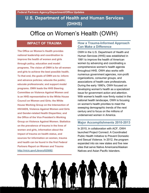# Office on Women's Health (OWH)

### **IMPACT OF TRAUMA**

**The Office on Women's Health provides national leadership and coordination to improve the health of women and girls through policy, education and model programs. The vision of OWH is for all women and girls to achieve the best possible health. To that end, the goals of OWH are to: inform and advance policies; educate the public; educate professionals; and support model programs. OWH leads the HHS Steering Committee on Violence Against Women and is an HHS representative to the White House Council on Women and Girls; the White House Working Group on the Intersection of HIV/AIDS, Violence Against Women and Girls and Gender-related Health Disparities; and the Office of the Vice President's Working Group on Violence Against Women. Statistics on the prevalence of trauma in the lives of women and girls, information about the impact of trauma on health status, and sources for information on women, trauma and health can be found in the first Federal Partners Report on Women and Trauma [http://nicic.gov/Library/025082.](http://nicic.gov/Library/025082)** 

#### **How a Trauma-Informed Approach Can Make a Difference**

OWH in the U.S. Department of Health and Human Services (HHS) was established in 1991 to improve the health of American women by advancing and coordinating a comprehensive women's health agenda throughout HHS. OWH also works with numerous government agencies, non-profit organizations, consumer groups, and associations of health care professionals. During the early 1990's, OWH focused on developing women's health as a specialized issue for government action and attention. With women's health now firmly rooted in the national health landscape, OWH is focusing on women's health priorities to meet the sweeping demographic trends of the next century and to focus on the millions of underserved women in America.

#### **Major Accomplishments 2010-2013**

In 2010, in collaboration with ACF, OWH launched Project Connect: A Coordinated Public Health Initiative to Prevent Domestic and Sexual Violence. In 2012, the program expanded into six new states and five new sites that serve Native Americans/Alaskan Natives and Asian Pacific Islanders.

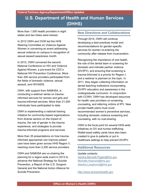More than 1,500 health providers in eight states and two tribes were trained.

In 2012 OWH and OVW led the HHS Steering Committee on Violence Against Women in convening an event addressing sexual violence on campus in recognition of sexual assault awareness month.

In 2012, OWH convened the second National Conference on HIV and Violence Against Women, a pre-event for CDC's National HIV Prevention Conference. More than 300 service providers participated from the fields of domestic violence, sexual assault, and HIV/AIDS.

OWH, with support from SAMHSA, is conducting a webinar series on traumainformed services for women and girls and trauma-informed services. More than 21,000 individuals have participated to date.

OWH is implementing a national training initiative for community-based organizations from diverse sectors on the impact of trauma, the role of gender in the trauma experience, and strategies to provide trauma-informed programs and services.

More than 35 presentations on how traumainformed approaches can improve patient care have been given across HHS Region V, reaching more than 2,200 service providers.

OWH and SAMHSA are co-chairing the planning for a region-wide event in 2013 to advance the National Strategy for Suicide Prevention, a Report of the U.S. Surgeon General and the National Action Alliance for Suicide Prevention.

#### **New Directions and Collaborations**

Through 2014, OWH will continue developing a best practices model and recommendations for gender-specific services for women re-entering the community after release from incarceration.

Recognizing the importance of oral health, the role of the dental team in screening for domestic and intimate partner violence (DV/IPV), and ensuring that screening is trauma-informed is a priority for Region I, and a webinar is planned on the topic. In 2011, they began collecting information on dental teaching institutions incorporating DV/IPV education and awareness in the undergraduate curriculum. In conjunction with CCWH, OWH has developed resources for health care providers on screening, counseling, and referring victims of IPV. New private health plans must cover recommended women's preventive services, including domestic violence screening and counseling, with no cost-sharing.

OWH is the focal point for several HHS-wide initiatives on DV and human trafficking. Wallet-sized safety cards have also been created to give to patients or put in healthcare settings to help prevent DV/IPV.

#### **Additional Resources**

Update contacts: [Sandra.Bennett-Pagan@hhs.gov](mailto:Sandra.Bennett-Pagan@hhs.gov) [Michelle.Hoersch@hhs.gov](mailto:Michelle.Hoersch@hhs.gov) [Aleisha.Langhorne@hhs.gov](mailto:Aleisha.Langhorne@hhs.gov) 

[http://www.womenshealth.gov](http://www.womenshealth.gov/)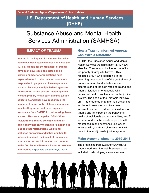# Substance Abuse and Mental Health Services Administration (SAMHSA)

## **IMPACT OF TRAUMA**

**Interest in the impact of trauma on behavioral health has been steadily increasing since the 1970's. Models for the treatment of trauma have been developed and tested and a growing number of organizations have explored ways to make their services more responsive to people who have experienced trauma. Recently, multiple federal agencies representing varied sectors, including child welfare, primary health care, criminal justice, education, and labor have recognized the impact of trauma on the children, adults, and families they serve, and have requested assistance from SAMHSA in addressing these issues. This has compelled SAMHSA to revisit trauma-related concepts and their applicability not only to behavioral health but also to other related fields. Additional statistics on women and behavioral health, information about the impact of trauma, and sources for further information can be found in the first Federal Partners Report on Women and Trauma [http://nicic.gov/Library/025082.](http://nicic.gov/Library/025082)** 

## **How a Trauma-Informed Approach Can Make a Difference**

In 2011, the Substance Abuse and Mental Health Services Administration (SAMHSA) identified Trauma and Justice as one of its top priority Strategic Initiatives. This reflected SAMHSA's leadership in the emerging understanding of the central role of trauma in mental and substance use disorders and of the high rates of trauma and trauma histories among people with behavioral health problems and in the justice system. The goals of the Strategic Initiative are: 1) to create trauma-informed systems to implement prevention and treatment interventions and to reduce the incidence of trauma and its impact on the behavioral health of individuals and communities; and 2) to better address the needs of people with mental health and substance use issues involved with, or at-risk of involvement with, the criminal and juvenile justice systems.

#### **Major Accomplishments 2010-2013**

The organizing framework for SAMHSA's trauma work over the last three years has included: 1) developing a measurement

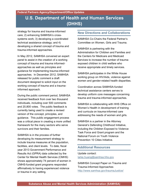strategy for trauma and trauma-informed care; 2) enhancing SAMHSA's crosssystems work; 3) developing a coordinated technical assistance strategy; and 4) developing a shared concept of trauma and trauma-informed approaches.

In May 2012, SAMHSA convened an expert panel to assist in the creation of a working concept of trauma and trauma informedapproaches as well as principles and guidance for implementing trauma-informed approaches. In December 2012, SAMHSA released for public comment a draft document designed to solicit input on the working concept of trauma and a traumainformed approach.

During the public comment period, SAMHSA received feedback from over two thousand individuals, including over 500 comments and 20,800 votes. The public feedback is currently being used to create a revised version of the concept, principles, and guidance. This public engagement process was a critical piece in creating a more unified framework for the many sectors who serve survivors and their families.

SAMHSA is in the process of further developing its measurement strategy to include trauma measures at the population, facilities, and client levels. To date, fiscal year 2013 Government Performance and Results Act (GPRA) data collected by the Center for Mental Health Services (CMHS) shows approximately 74 percent of women in CMHS-funded grant programs responded affirmatively to having experienced violence or trauma in any setting.

### **New Directions and Collaborations**

SAMHSA Co-Chairs the Federal Partner's Committee on Women, Girls and Trauma.

SAMHSA is partnering with the Administration for Children and Families and the Centers for Medicare and Medicaid Services to increase the number of traumaexposed children in child welfare who receive appropriate and timely services.

SAMHSA participates in the White House working group on HIV/Aids, violence against women and gender-related health disparities.

Coordination across SAMHSA-funded technical assistance centers serves to develop uniform core messages concerning trauma and trauma-informed approaches.

SAMHSA is collaborating with HHS Office on Women's Health in development of training and curricula on trauma-informed care addressing the needs of women and girls.

SAMHSA is a partner in the Attorney General's Defending Childhood Initiative, including the Children Exposed to Violence Task Force and Grant program and the National Forum on Youth Violence Prevention 10 Cities Initiative.

#### **Additional Resources**

Update contact: [larke.huang@samhsa.hhs.gov](mailto:larke.huang@samhsa.hhs.gov) 

SAMHSA Concept Paper on Trauma and Trauma-Informed Approaches <http://www.samhsa.gov/traumaJustice/>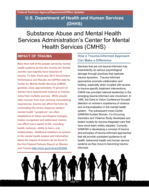Substance Abuse and Mental Health Services Administration's Center for Mental Health Services (CMHS)

## **IMPACT OF TRAUMA**

**More than half of the people served by mental health systems across the country are female, and the vast majority have histories of trauma. To date, fiscal year 2013 Government Performance and Results Act (GPRA) data for Center for Mental Health Services (CMHS) grantees show approximately 74 percent of women have experienced violence or trauma, many from multiple sources. While people often recover from even severely traumatizing experiences, trauma can affect the brain by overloading the stress response system; mental health "symptoms" are often adaptations to these neurological changes. Unless recognized and addressed, trauma can affect every aspect of life, including health, behavior, ability to learn, and relationships. Additional statistics on women in the mental health system and information about the impact of trauma can be found in the first Federal Partners Report on Women and Trauma [http://nicic.gov/Library/025082.](http://nicic.gov/Library/025082)** 

### **How a Trauma-Informed Approach Can Make a Difference**

Services that are not trauma-informed may inadvertently do serious psychological damage through practices that replicate trauma dynamics. Trauma-informed approaches promote collaboration and healing, especially when coupled with access to trauma-specific treatment interventions. CMHS has provided national leadership in the emerging trauma-informed care movement. In 1994, the Dare to Vision Conference focused attention on women's experience of violence and re-traumatization in the mental health system. The subsequent cross-Center SAMHSA-funded Women, Co-Occurring Disorders and Violence Study developed and tested models for trauma-integrated care that have since been widely adopted. Currently, SAMHSA is developing a concept of trauma and principles of trauma-informed approaches that will provide consistent guidance to all health, behavioral health and human service systems as they move to becoming traumainformed.

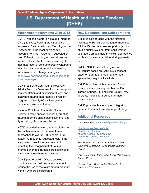#### **Major Accomplishments 2010-2013**

CMHS' National Center on Trauma-Informed Care (NCTIC's) working draft *Engaging Women in Trauma-Informed Peer Support: A Guidebook*, is the most downloaded resource from the TA Center, requested by over 30 health, human, and social service systems. This reflects increased recognition that integration of consumers/survivors/peers must be the cornerstone of implementing trauma-informed change strategies. [http://www.nasmhpd.org/publications/engagi](http://www.nasmhpd.org/publications/engagingWomen.aspx) [ngWomen.aspx](http://www.nasmhpd.org/publications/engagingWomen.aspx) 

CMHS' Jail Diversion Trauma Recovery - Priority Focus on Veterans Program supports implementation and expansion of local and statewide trauma-integrated jail diversion programs. Over 2,100 justice system personnel have been trained.

National Childhood Traumatic Stress Network hosted speaker series: 1) creating trauma-informed child-serving systems; and 2) terrorism, disaster and children.

NCTIC provided training and consultation on the implementation of trauma-informed approaches to over 20,000 people in 33 states. A frequently requested topic is the elimination of seclusion and restraint, reflecting the recognition that traumainformed change strategies are essential to eliminating these harmful practices.

CMHS partnered with DOJ to develop principles and a best practices statement to reduce the use of restraints among pregnant women who are incarcerated.

#### **New Directions and Collaborations**

CMHS is collaborating with the National Institutes of Health Department of Bioethics Clinical Center on a peer support project to obtain qualitative input from adult women volunteers on desirable physician approaches to obtaining a trauma history during prenatal care.

CMHS' NCTIC is developing a core curriculum based on SAMHSA's concept paper on trauma and trauma-informed approaches to guide TA efforts.

CMHS is working with a number of local communities (including San Mateo, CA; Tarpon Springs, FL; and King County, WA) to create models for trauma-informed communities.

CMHS provides leadership on integrating peers in trauma-informed change strategies.

#### **Additional Resources**

Update contact: [mary.blake@samhsa.hhs.gov](mailto:mary.blake@samhsa.hhs.gov) 

<http://www.samhsa.gov/nctic> [http://www.nctsn.org](http://www.nctsn.org/)  <http://gainscenter.samhsa.gov/> <http://www.samhsa.gov/dtac/>

*The Trauma-Informed Care Initiative at the Women's Community Correctional Center of Hawaii* 

*Child Traumatic Stress: What Every Policymaker Should Know*

*Responding to Crisis in the Aftermath of Disasters (DVD series)*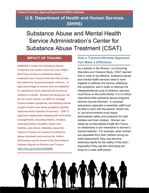Substance Abuse and Mental Health Service Administration's Center for Substance Abuse Treatment (CSAT)

# **IMPACT OF TRAUMA**

**SAMHSA's Center for Substance Abuse Treatment has known since the early 1990's that many women in substance abuse treatment have trauma histories that include but extend far beyond domestic violence. A high percentage of women who are addicted to substances have experienced trauma as children or adults. Alcohol and drug use can be, for some women, an effort to manage trauma-related symptoms, and helping clients to gain control over these symptoms greatly improves their chances of recovery. CSAT's approach emphasizes working with all kinship arrangements, including fathers, children, extended family members, foster care families, and others. Statistics about the impact of trauma on women in substance abuse treatment and sources for further information can be found in the first Federal Partners Report on Women and Trauma [http://nicic.gov/Library/025082.](http://nicic.gov/Library/025082)** 

# **How a Trauma-Informed Approach Can Make a Difference**

As a partner in the Women, Co-Occurring Disorders and Violence Study, CSAT learned that in order to be effective, substance abuse and mental health services need to work together to address the trauma underlying the symptoms; and in order to interrupt the intergenerational cycle of violence, services must focus on the entire family. It is of critical importance that substance abuse programs become trauma-informed. A universal precautions approach is essential, staff must be able to work with the person "where she is" and environments must clearly demonstrate safety and protection for both mothers and their children. Women can easily be re-traumatized if staff don't focus on relationship or are insensitive to women's trauma histories. For example, when women are separated from their children during an initial assessment, they may become extremely fearful for the safety of the child – especially if they see the child being led away by a male staff person.

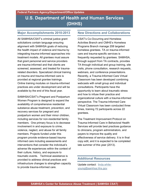#### **Major Accomplishments 2010-2013**

All SAMHSA/CSAT's criminal justice grant solicitations contain language ensuring alignment with SAMHSA goals of reducing the health impact of violence and trauma by integrating trauma-informed approaches into treatment models. All grantees must assure that grant personnel and service providers are trauma-informed and that clients are screened, assessed, and treated for traumarelated disorders. Specialized clinical training on trauma and trauma-informed care is provided at regional grantee trainings. Online training modules on trauma-informed practices are under development and will be available by the end of this fiscal year.

SAMHSA/CSAT's Pregnant and Postpartum Women Program is designed to expand the availability of comprehensive residential substance abuse treatment, prevention, and recovery services for pregnant and postpartum women and their minor children, including services for non-residential family members. One primary focus is to decrease involvement in and exposure to crime, violence, neglect, and abuse for all family members. Projects funded under this program provide evidence-based trauma informed care including assessments and interventions that consider the individual's adverse life experiences within the context of their culture, history, and exposure to traumatic events. Technical assistance is provided to address clinical practices and infrastructure changes to strengthen capacity to provide trauma-informed care.

#### **New Directions and Collaborations**

CSAT's Co-Occurring and Homeless Activities Branch and CMHS's Homeless Programs Branch manage 208 targeted homeless grantees. TA on trauma-informed care and trauma-specific services is frequently requested by grantees. SAMHSA, through support from TA contracts, provides TA through individual and group training, site visits, phone consultation, research requests, webinars, and conference presentations. Recently, a Trauma-Informed Care Virtual Classroom has been developed combining webcasts with small group and individual consultations. Participants have the opportunity to learn about traumatic stress and how to infuse their practice and organizational culture with a trauma-informed perspective. The Trauma-Informed Care Virtual Classroom has been conducted three times, training 72 participants across 22 grantees.

The Treatment Improvement Protocol on Trauma-Informed Care in Behavioral Health Services will provide best practices guidance to clinicians, program administrators, and payers to improve the quality and effectiveness of service delivery. It is in final copy edit, and it is expected to be completed late summer of this year (2013).

#### **Additional Resources**

Update contact: [linda.white](mailto:linda.white-young@samhsa.hhs.gov)[young@samhsa.hhs.gov](mailto:linda.white-young@samhsa.hhs.gov)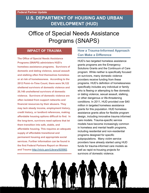# **U.S. DEPARTMENT OF HOUSING AND URBAN DEVELOPMENT (HUD)**

# Office of Special Needs Assistance Programs (SNAPS)

### **IMPACT OF TRAUMA**

**The Office of Special Needs Assistance Programs (SNAPS) administers HUD's homeless assistance programs. Survivors of domestic and dating violence, sexual assault and stalking often find themselves homeless or at risk of homelessness. According to the 2012 Point–in-Time Count, there were 54,122 sheltered survivors of domestic violence and 20,148 unsheltered survivors of domestic violence. Survivors of domestic violence are often isolated from support networks and financial resources by their abusers. They may lack steady income, employment history, credit history, or landlord references, making affordable housing options difficult to find. In the long-term, survivors need options that let them transition into safe, stable, and affordable housing. This requires an adequate supply of affordable transitional and permanent housing and appropriate social services. Further information can be found in the first Federal Partners Report on Women and Trauma [http://nicic.gov/Library/025082.](http://nicic.gov/Library/025082)** 

## **How a Trauma-Informed Approach Can Make a Difference**

HUD's two targeted homeless assistance grants programs are the Emergency Solutions Grants and the Continuum of Care program. While neither is specifically focused on survivors, many domestic violence providers receive funding from these programs. HUD's definition of homelessness specifically includes any individual or family who is fleeing or attempting to flee domestic or dating violence, sexual assault, stalking, or other dangerous or life-threatening conditions. In 2011, HUD provided over \$40 million in targeted homeless assistance grants for this population. HUD homeless assistance grants allow for flexible program design, including innovative trauma informed care models. Trauma-specific service models have become increasingly common in homeless and mental health programs, including residential and non-residential programs designed for specific subpopulations. Many victim service providers have already started using HUD funds for trauma-informed care models as well as rapid re-housing projects for survivors of domestic violence.

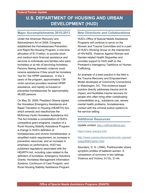### **Federal Partner Update**

## **U.S. DEPARTMENT OF HOUSING AND URBAN DEVELOPMENT (HUD)**

### **Major Accomplishments 2010-2013**

Under the American Recovery and Reinvestment Act of 2009, Congress established the Homelessness Prevention and Rapid Re-Housing Program, a one-time allocation of \$1.5 billion, to provide shortand medium-term financial assistance and services to individuals and families who were homeless or at risk of becoming homeless. Persons fleeing domestic violence could receive assistance if they would be homeless "but for" the HPRP assistance. In the 3 years of the program, approximately 138 victim services providers received HPRP assistance, and rapidly re-housed or prevented homelessness for approximately 48,000 persons.

On May 20, 2009, President Obama signed the Homeless Emergency Assistance and Rapid Transition to Housing (HEARTH) Act, which amends and reauthorizes the McKinney-Vento Homeless Assistance Act. The Act includes a consolidation of HUD's competitive grant programs; creation of a Rural Housing Stability Assistance Program; a change in HUD's definition of homelessness and chronic homelessness; a simplified match requirement; an increase in prevention resources; and an increase in emphasis on performance. HUD has published regulations associated with the HEARTH Act, including rules related to the definition of homeless; Emergency Solutions Grants; Homeless Management Information Systems; Continuum of Care Program; and Rural Housing Stability Assistance Program.

### **New Directions and Collaborations**

HUD's Office of Special Needs Assistance Programs will continue to serve on the Women and Trauma Committee and is a part of HUD's Working Group on the Intersection of HIV/AIDS, Violence Against Women and Gender-related Health Disparities and provides support to HUD staff on the President's Interagency Taskforce on Human Trafficking.

An example of a best practice in the field is the Trauma Recovery and Empowerment Model developed at Community Connections in Washington, DC. This evidence based practice directly addresses trauma and its impact, and facilitates trauma recovery for people who often bring other complicating vulnerabilities (e.g., substance use, severe mental health problems, homelessness, contact with the criminal justice system) to the service setting.

### **Additional Resources**

Update contact: [lisa.r.coffman@hud.gov](mailto:lisa.r.coffman@hud.gov) 

### <https://www.onecpd.info/>

[http://www.communityconnectionsdc.org/web](http://www.communityconnectionsdc.org/web/page/656/interior.html) [/page/656/interior.html](http://www.communityconnectionsdc.org/web/page/656/interior.html) 

Saunders, D. G. (1994). Posttraumatic stress symptom profiles of battered women: A comparison of survivors in two settings. Violence and Victims, 9 (10), 31-44.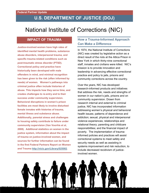# National Institute of Corrections (NIC)

## **IMPACT OF TRAUMA**

**Justice-involved women have high rates of identified mental health problems, substance abuse disorders, interpersonal trauma, and specific trauma-related conditions such as post-traumatic stress disorder (PTSD). Correctional policy and practice have historically been developed with male offenders in mind, and minimal recognition has been given to the risk (often informed by needs) of women. Women's pathways into criminal justice often include histories of abuse. This impacts how they serve time, and creates challenges to re-entry and to their success under community supervision. Behavioral disruptions in women's prison facilities are most likely to involve disturbed female inmates with histories of trauma, mental illness and substance abuse. Additionally, parental stress and challenges to housing safety contribute to failure under community supervision (Van Voorhis et al, 2008). Additional statistics on women in the justice system, information about the impact of trauma on justice-involved women, and sources for further information can be found in the first Federal Partners Report on Women and Trauma [http://nicic.gov/Library/025082.](http://nicic.gov/Library/025082)** 

## **How a Trauma-Informed Approach Can Make a Difference**

In 1974, the National Institute of Corrections (NIC) was created by legislative action as a direct result of the riots at the Attica Prison in New York in which thirty-nine correctional staff, inmates and civilians were killed. NIC's mission is to provide innovation and leadership in advancing effective correctional practice and policy to jails, prisons and community corrections across the country.

Over the years, NIC has developed research-informed products and initiatives that address the risk, needs and strengths of women in our nation's jails, prisons and on community supervision. Drawn from research internal and external to criminal justice, NIC has incorporated information addressing women's physical and behavioral health issues; patterns of dependence and addiction; sexual, physical and interpersonal violence experiences; relationships and relational theory; parenting and childcare responsibilities; and the financial impact of poverty. The implementation of traumainformed policies and practices will assist correctional systems to meet safety and security needs as well as assisting in systems improvement and risk reduction, to include decreased recidivism of justiceinvolved women.

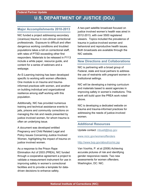### **Major Accomplishments 2010-2013**

NIC funded a project addressing secondary (vicarious) trauma in non-clinical correctional professionals. Exposure to difficult and often dangerous working conditions and troubled populations takes a toll on correctional staff, with rates of PTSD exceeding other first responders. Materials to be released in FY13 include a white paper, resource guide, and content for a series of webinars and a webpage.

An E-Learning training has been developed specific to working with women offenders. One module is on trauma and traumainformed practices with women, and another on building individual and organizational resilience among staff working with this population.

Additionally, NIC has provided numerous training and technical assistance events to jails, prisons and community corrections on managing the risk and needs presented by justice involved women, for whom trauma is often an underlying issue.

A document was developed entitled Pregnancy and Child Related Legal and Policy Issues Concerning Justice Involved Women, highlighting the impact of trauma on justice involved women.

As a response to the Prison Rape Elimination Act of 2003 (PREA), NIC funded through a cooperative agreement a project to validate a measurement instrument for use in improving safety in women's correctional facilities and to provide a template for datadriven decisions to enhance safety.

A two-part satellite broadcast focused on justice involved women's health was aired in 2012-2013, with over 5500 registered viewers. Topics included the prevalence of trauma in justice-involved women and behavioral and reproductive health issues. Both broadcasts are available through the NIC website.

### **New Directions and Collaborations**

NIC is partnering with a broad group of Federal, state and local partners to address the use of restraints with pregnant women in institutional settings.

NIC will be developing a training curriculum and materials based to assist agencies in improving safety in women's institutions. This work will build upon the PREA work noted above.

NIC is developing a dedicated website on trauma and trauma-informed practices for addressing the needs of justice-involved women.

### **Additional Resources**

Update contact: [mbuell@bop.gov](mailto:mbuell@bop.gov) 

[www.nicic.gov/womenoffenders](http://www.nicic.gov/womenoffenders)

### <http://www.bop.gov/about/co/nic.jsp>

Van Voorhis, P. et al (2008) Achieving accurate pictures of risk and identifying gender responsive needs: Two new assessments for women offenders. Washington, DC: NIC.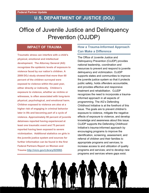# Office of Juvenile Justice and Delinquency Prevention (OJJDP)

## **IMPACT OF TRAUMA**

**Traumatic stress can interfere with a child's physical, emotional and intellectual development. The Attorney General (AG) recognizes the epidemic levels of exposure to violence faced by our nation's children. A 2009 DOJ study showed that more than 60 percent of the children surveyed were exposed to violence within the past year, either directly or indirectly. Children's exposure to violence, whether as victims or witnesses, is often associated with long-term physical, psychological, and emotional harm. Children exposed to violence are also at a higher risk of engaging in criminal behavior later in life and becoming part of a cycle of violence. Approximately 90 percent of juvenile detainees reported having experienced at least one traumatic event and 75 percent reported having been exposed to severe victimization. Additional statistics on girls in the juvenile justice system and sources for further information can be found in the first Federal Partners Report on Women and Trauma [http://nicic.gov/Library/025082.](http://nicic.gov/Library/025082)** 

## **How a Trauma-Informed Approach Can Make a Difference**

The Office of Juvenile Justice and Delinquency Prevention (OJJDP) provides national leadership, coordination and resources to prevent and respond to juvenile delinquency and victimization. OJJDP supports states and communities to improve the juvenile justice system so that it protects public safety, holds offenders accountable, and provides effective and responsive treatment and rehabilitation. OJJDP recognizes the need to incorporate a traumainformed approach in all aspects of programming. The AG's Defending Childhood Initiative is at the forefront of this issue. The goals are to prevent children's exposure to violence, mitigate the negative effects of exposure to violence, and develop knowledge and awareness about this issue. OJJDP supports the Defending Childhood Initiative's trauma-informed approach by encouraging programs to improve the identification, screening, assessment, and referral of children and their families to appropriate programs and services; to increase access to and utilization of quality programs and services; and to develop new programs and services where gaps exist.

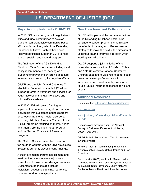### **Major Accomplishments 2010-2013**

In 2010, DOJ awarded grants to eight sites in cities and tribal communities to develop plans for comprehensive community-based efforts to further the goals of the Defending Childhood Initiative. Each of these sites received additional support in 2011 to help launch, sustain, and expand programs.

The final report of the AG's Defending Childhood Task Force presents findings and policy recommendations, serving as a blueprint for preventing children's exposure to violence and reducing its negative effects.

OJJDP and the John D. and Catherine T. MacArthur Foundation provided \$2 million to support reforms in treatment and services for youth involved in the juvenile justice and child welfare systems.

In 2013 OJJDP will award funding to implement or enhance family drug courts for individuals with substance abuse disorders or co-occurring mental health disorders, including histories of trauma. Two additional OJJDP programs focusing on mental health and trauma are the Tribal Youth Program and the Second Chance Act Re-entry Program.

The OJJDP Suicide Prevention Task Force for Youth in Contact with the Juvenile Justice System is currently disseminating findings.

A study examining trauma assessment and treatment for youth in juvenile justice is currently underway in five Michigan counties. Outcomes to be measured include recidivism, academic standing, resilience, behavior, and trauma symptoms.

### **New Directions and Collaborations**

OJJDP will implement the recommendations of the Defending Childhood Task Force, continue to support programs that mitigate the effects of trauma, and offer successful strategies to move the field in the direction of utilizing a trauma-informed approach when working with all children.

OJJDP supports a joint initiative of the International Association of Chiefs of Police and Yale University's National Center for Children Exposed to Violence to better equip law enforcement professionals with information and tools to identify trauma and to use trauma-informed responses to violent events.

### **Additional Resources**

Update contact: [Stephanie.Rapp@usdoj.gov](mailto:Stephanie.Rapp@usdoj.gov) 

[www.ojjdp.gov](http://www.ojjdp.gov/) 

### [www.justice.gov/defendingchildhood/cev-rpt](http://www.justice.gov/defendingchildhood/cev-rpt-full.pdf)[full.pdf](http://www.justice.gov/defendingchildhood/cev-rpt-full.pdf)

Questions and Answers about the National Survey of Children's Exposure to Violence, OJJDP, Oct. 2011.

OJJDP Bulletin Series (2013) The Northwestern Juvenile Project.

Ford et al (2007) Trauma among Youth in the Juvenile Justice System: Critical Issues and New Directions.

Cocozza et al (2006) Youth with Mental Health Disorders in the Juvenile Justice System: Results from a Multi-State Prevalence Study. National Center for Mental Health and Juvenile Justice.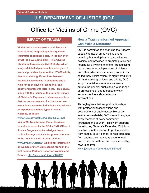# Office for Victims of Crime (OVC)

## **IMPACT OF TRAUMA**

**Victimization and exposure to violence can have serious, long-lasting consequences. Traumatic experiences early in life can even affect the developing brain. The Adverse Childhood Experiences (ACE) study, which analyzed detailed personal histories given to medical providers by more than 17,000 adults, demonstrated significant links between traumatic experiences in childhood and a wide range of physical, emotional, and behavioral problems later in life. This study, along with the results of the National Survey of Children's Exposure to Violence, confirms that the consequences of victimization are many times worse for individuals who witness or experience multiple types of crime, violence, or abuse.** 

**[www.ncjrs.gov/pdffiles1/ojjdp/235504.pdf](http://www.ncjrs.gov/pdffiles1/ojjdp/235504.pdf)  Vision 21: Transforming Victim Services, recently released by the DOJ's OVC, Office of Justice Programs, acknowledges these critical findings and calls for greater attention to the holistic needs of crime victims. [www.ovc.gov/vision21](http://www.ovc.gov/vision21) Additional information on women crime victims can be found in the first Federal Partners Report on Women and Trauma.<http://nicic.gov/Library/025082>**

## **How a Trauma-Informed Approach Can Make a Difference**

OVC is committed to enhancing the Nation's capacity to assist crime victims and to providing leadership in changing attitudes, policies, and practices to promote justice and healing for all victims of crime. Recognizing that exposure to multiple types of violence and other adverse experiences, sometimes called "poly-victimization," is highly predictive of trauma among children and adults, OVC supports initiatives to raise awareness among the general public and a wide range of professionals, and to educate victim service providers about effective interventions.

Through grants that support partnerships with professional associations and development of easily accessible public awareness materials, OVC seeks to engage every member of every community throughout the country. This work supports the Attorney General's Defending Childhood Initiative, a national effort to protect children from exposure to violence, to help them heal from trauma they may have experienced, and to help them thrive and resume healthy, rewarding lives.

[www.justice.gov/defendingchildhood/](http://www.justice.gov/defendingchildhood/) 

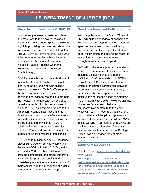### **Major Accomplishments 2010-2013**

OVC recently released a series of videos and resources to raise awareness about children who have been exposed to violence, highlight promising practices, and show how trauma-informed care can help child victims recover. [www.ovc.gov/throughoureyes](http://www.ovc.gov/throughoureyes) One video introduces evidence-based mental health interventions to address trauma, including Trauma-Focused Cognitive Behavioral Therapy and Child-Parent Psychotherapy.

OVC focuses attention on the critical role of medical and mental health professionals in identifying and intervening with children exposed to violence. With OVC's support, the American Academy of Pediatrics developed educational materials to promote the medical home approach, an evidencebased intervention for children exposed to violence. OVC also awarded funding to the American Psychological Association to develop a curriculum about effective trauma– focused, evidence-based interventions for children exposed to violence. OVC is collaborating with the Administration for Children, Youth, and Families to adapt this curriculum for child welfare professionals.

OVC plans to publish Achieving Excellence: Model Standards for Serving Victims and Survivors of Crime in late 2013. Originally released in 2003, the Model Standards promote competence and ethical integrity of victim service providers; quality and consistency of service for crime victims and their families; and the importance of a victimcentered and trauma-informed approach.

### **New Directions and Collaborations**

With the publication of the Vision 21 report. OVC will build on its legacy of partnerships within the Justice Department, other federal agencies, and stakeholder constituency groups to expand the body of knowledge about victimization and extend the reach of its services to victims in communities throughout America and beyond.

OVC will continue to support collaborations to improve the response to victims of crime, including sexual violence and human trafficking. OVC coordinates with DOD's Sexual Assault Prevention and Response Office to encourage partnerships between victim assistance providers and military personnel. OVC also spearheads an initiative to address the needs of American Indian/Alaska Native sexual violence victims. Numerous federal and tribal agency representatives contribute to this effort, which will result in national quidelines for a coordinated, multidisciplinary approach to victimized tribal women and children. OVC is also working in partnership with DHHS and the Department of Homeland Security to develop and implement a Federal Strategic Action Plan on Services for Victims of Human Trafficking.

### **Additional Resources**

Update contact: [mary.atlas-terry@usdoj.gov](mailto:mary.atlas-terry@usdoj.gov)  [www.ovc.gov](http://www.ovc.gov/)  [www.aap.org/en-us/advocacy-and](http://www.aap.org/en-us/advocacy-and-policy/aap-health-initiatives/Medical-Home-for-Children-and-Adolescents-Exposed-to-Violence/Pages/Medical-Home-for-Children-and-Adolescents-Exposed-to-Violence.aspx)[policy/aap-health-initiatives/Medical-Home](http://www.aap.org/en-us/advocacy-and-policy/aap-health-initiatives/Medical-Home-for-Children-and-Adolescents-Exposed-to-Violence/Pages/Medical-Home-for-Children-and-Adolescents-Exposed-to-Violence.aspx)[for-Children-and-Adolescents-Exposed-to-](http://www.aap.org/en-us/advocacy-and-policy/aap-health-initiatives/Medical-Home-for-Children-and-Adolescents-Exposed-to-Violence/Pages/Medical-Home-for-Children-and-Adolescents-Exposed-to-Violence.aspx)[Violence/Pages/Medical-Home-for-Children](http://www.aap.org/en-us/advocacy-and-policy/aap-health-initiatives/Medical-Home-for-Children-and-Adolescents-Exposed-to-Violence/Pages/Medical-Home-for-Children-and-Adolescents-Exposed-to-Violence.aspx)[and-Adolescents-Exposed-to-Violence.aspx](http://www.aap.org/en-us/advocacy-and-policy/aap-health-initiatives/Medical-Home-for-Children-and-Adolescents-Exposed-to-Violence/Pages/Medical-Home-for-Children-and-Adolescents-Exposed-to-Violence.aspx)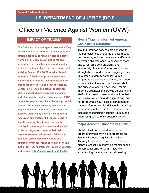# Office on Violence Against Women (OVW)

## **IMPACT OF TRAUMA**

**The Office on Violence Against Women (OVW) provides federal leadership in developing the nation's capacity to reduce violence against women and to administer justice for and strengthen services to victims of domestic violence, dating violence, sexual assault, and stalking. Since 1995, OVW has distributed more than \$5 billion to provide services to victims, hold offenders accountable, ensure justice for survivors, and prevent violence. Domestic violence and sexual assault are often associated with depression, suicide, and other mental health consequences; PTSD rates after sexual assault can be as high as 94 percent. For some survivors, these issues may be managed with increased safety and support. Others may benefit from additional resources and treatment. In recent years, a significant effort has formed across the country to encourage domestic and sexual violence programs to ensure that their services are trauma-informed. Additional statistics on women and violence and sources for further information can be found in the first Federal Partners Report on Women and Trauma [http://nicic.gov/Library/025082.](http://nicic.gov/Library/025082)** 

## **How a Trauma-Informed Approach Can Make a Difference**

Trauma-informed services are sensitive to the pervasiveness of trauma and its impact on survivors, including how trauma affects a survivor's ability to cope, to access services, and to feel safe both physically and emotionally. Trauma-informed services are strength-based and non-pathologizing. They take steps to identify potential trauma triggers, reduce re-traumatization, and attend to the quality of interactions between staff and survivors receiving services. Traumainformed organizations provide survivors and staff with an environment and structure that is inclusive, welcoming, de-stigmatizing, and not re-traumatizing. A critical component of trauma-informed service delivery is attending to the emotional needs of direct service staff, including recognizing vicarious trauma, and addressing self-care in substantive ways.

### **Major Accomplishments 2010-2013**

OVW's Children Exposed to Violence program provides training to programs on Trauma-Focused Cognitive Behavior Therapy for children. This form of therapy is highly successful in improving mental health outcomes for children with a history of experiencing trauma, such as witnessing

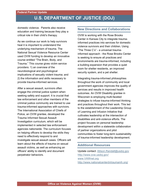domestic violence. Parents also receive education and training because they play a critical role in their child's therapy.

As we continue our work to help survivors heal it is important to understand the underlying mechanism of trauma. The National Sexual Violence Resource Center used OVW funding to develop an innovative course entitled "The Brain, Body, and Trauma." This course gives victim service providers: 1) an overview of the neurobiological and psychological implications of sexually violent trauma; and 2) the information and skills necessary to provide trauma-informed services.

After a sexual assault, survivors often engage the criminal justice system when seeking safety and support. It is crucial that law enforcement and other members of the criminal justice community are trained to use trauma-informed approaches with survivors. The International Association of Chiefs of Police, an OVW grantee, developed the Trauma Informed Sexual Assault Investigation curriculum, which will be implemented in selected law enforcement agencies nationwide. The curriculum focuses on helping officers to develop the skills they need to effectively respond to and investigate sexual assault cases. Officers will learn about the effects of trauma on sexual assault victims, as well as enhancing an officers' ability to identify and document perpetrator behaviors.

### **New Directions and Collaborations**

OVW is working with the Rose Brooks Center in Kansas City to integrate traumainformed practices into services for domestic violence survivors and their children. Using "The Three C's" - a universal traumainformed approach - the Rose Brooks Center is seeking to ensure all practices and environments are trauma-informed, including a building expansion that provides a quiet room for shelter residents, an improved security system, and a pet shelter.

Integrating trauma-informed philosophies throughout the work of community and local government agencies improves the quality of services and results in improved health outcomes. An OVW Disability grantee in Wisconsin is employing multi-faceted strategies to infuse trauma-informed thinking and practices throughout their work. This led to the establishment of the Leadership Group of Learning and Infusion Initiative that cultivates leadership at the intersection of disabilities and anti-violence efforts. The project focuses on personal leadership development within a statewide collaboration of partner organizations and pilot communities to foster long-term sustainability of trauma-informed leadership development.

### **Additional Resources**

Update contact: [Allison.Randall@usdoj.gov](mailto:Allison.Randall@usdoj.gov)  <http://www.ovw.usdoj.gov/> [www.VAWnet.org](http://www.vawnet.org/)  <http://www.nationalcenterdvtraumamh.org/>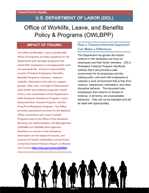# Office of Worklife, Leave, and Benefits Policy & Programs (OWLBPP)

## **IMPACT OF TRAUMA**

**The Office of Worklife, Leave, and Benefits Policy & Programs provides guidance for the Department and manages programs that assist DOL employees in managing their work and personal life. Areas of responsibility consist of Federal Employees' Benefits; Worklife Programs: telework, childcare subsidy, information and referral, support groups, elder care; oversight of Departmentwide health and wellness programs, health clinics, and coordination of the Departmentwide Employee Assistance Program; Leave Administration; Awards Program; and the Drug Free Workplace Program. The Office provides operational services for the National Office Leave Bank and Leave Transfer Programs and to the Office of the Assistant Secretary for Administration and Management (OASAM) and OASAM client agencies. Statistics on women in the workplace, information on the impact of trauma, and sources for further information can be found in the first Federal Partners Report on Women and Trauma [http://nicic.gov/Library/025082.](http://nicic.gov/Library/025082)** 

## **How a Trauma-Informed Approach Can Make a Difference**

The Department recognizes the impact violence in the workplace can have on employees and their family members. DOL's Workplace Violence Program Handbook outlines that it will promote a safe environment for its employees and the visiting public, and work with employees to maintain a work environment that is free from violence, harassment, intimidation, and other disruptive behavior. The document also emphasizes that violence or threats of violence, in all forms, are unacceptable behaviors. They will not be tolerated and will be dealt with appropriately.

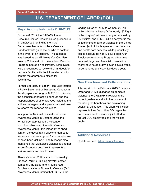### **Major Accomplishments 2010-2013**

On June 6, 2012 the OASAM/Human Resource Center Director issued guidance to all employees reminding them the Department has a Workplace Violence Handbook with guidance on who to contact in the event of an incident. The guidance was issued as an HR News You Can Use, Volume 2, Issue 4, DOL Workplace Violence Program, posted on its intranet. Employees were encouraged to review the handbook to become familiar with the information and to contact the appropriate offices for assistance.

Former Secretary of Labor Hilda Solis issued a Policy Statement on Harassing Conduct in the Workplace on August 6, 2012 to reiterate the definition of harassing conduct and the responsibilities of all employees including the actions managers and supervisors must take to resolve the reported situations.

In support of National Domestic Violence Awareness Month in October 2012, the former Secretary issued a Message: "October is National Domestic Violence Awareness Month. It is important to shed light on the devastating effects of domestic violence and show support for those who are or have been victims." The Message also mentioned that workplace violence is another issue of concern because it represents a serious safety and health issue.

Also in October 2012, as part of its weekly Frances Perkins Building elevator poster campaign, the Department highlighted October is National Domestic Violence (DV) Awareness Month, noting that: 1) DV is the

leading cause of injury to women; 2) Ten million children witness DV annually; 3) Eight million days of paid work per year are lost by DV victims; and 4) \$5.8 billion per year is the cost of intimate partner violence in the United States: \$4.1 billion is spent on direct medical and health care services, while productivity losses account for nearly \$1.8 billion. Our Employee Assistance Program offers free personal, legal and financial consultation twenty-four hours a day, seven days a week, three hundred and sixty five days a year.

### **New Directions and Collaborations**

After receipt of the February 2013 Executive Order and OPM's guidance on domestic violence, the OWLBPP is reviewing the current guidance and is in the process of redrafting the handbook and developing additional guidance. This effort will include representatives from other DOL agencies and the unions to ensure a joint effort to protect DOL employees and the visiting public.

### **Additional Resources**

Update contact: [Allen.Susan@dol.gov](mailto:Allen.Susan@dol.gov)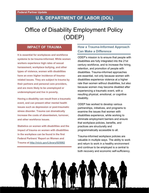# Office of Disability Employment Policy (ODEP)

### **IMPACT OF TRAUMA**

**It is essential for workplaces and workforce systems to be trauma-informed. While women workers experience high rates of sexual harassment, workplace bullying, and other types of violence, women with disabilities have an even higher incidence of traumarelated issues. They are subject to trauma by their partners and personal care providers, and are more likely to be unemployed or underemployed and live in poverty.**

**Having a disability can result from a traumatic event, and can present other mental health issues such as depression or post-traumatic stress disorder. Trauma can dramatically increase the costs of absenteeism, turnover, and other workforce issues.**

**Statistics on women with disabilities and the impact of trauma on women with disabilities in the workplace can be found in the first Federal Partners' Report on Women and Trauma at<http://nicic.gov/Library/025082>**

## **How a Trauma-Informed Approach Can Make a Difference**

ODEP's mission is to ensure that people with disabilities are fully integrated into the 21st century workforce, and to increase the hiring, retention, and promotion of people with disabilities. Trauma-informed approaches are essential, not only because women with disabilities experience violence at a higher rate than women without disabilities, but also because women may become disabled after experiencing a traumatic event, with a resulting physical, emotional, or cognitive disability.

ODEP has worked to develop various partnerships, initiatives, and programs to examine the issues that women with disabilities experience, while working to eliminate employment barriers and ensure that workplace policies, benefits, and practices are structurally and programmatically accessible to all.

Trauma-informed workplace policies are valuable in multiple ways. The ability to work and return to work in a healthy environment and continue to be employed is a central to both recovery and economic self-sufficiency.

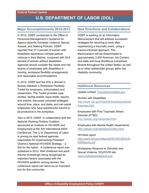### **Major Accomplishments 2010-2013**

In 2012, ODEP contributed to the Office of Personnel Management's Guidance for Agency-Specific Domestic Violence, Sexual Assault, and Stalking Policies. ODEP reported that 37.3 percent of women with disabilities experience intimate partner violence in their lifetime, compared with 20.6 percent of women without disabilities. Agencies should consider the needs and risk factors of employees with disabilities in training, workplace flexibility arrangements and reasonable accommodations.

In 2012, ODEP and the DOL's Women's Bureau released a Workplace Flexibility Toolkit for employers, policymakers and researchers. The Toolkit provides case studies, fact/tip sheets, issue briefs, reports, and articles; discusses universal strategies around time, place, and tasks; and can assist employees who have experienced trauma to be productive in the workplace.

Also in 2012, ODEP, in collaboration with the National Working Positive Coalition, sponsored an Institute on HIV/AIDS and Employment at the XIX International AIDS Conference. The U.S. Department of Labor is among six lead federal agencies responsible for implementing President Obama's National HIV/AIDS Strategy – a first for the nation. A conference report was published in 2012. With childhood and adult trauma increasingly being recognized as important factors associated with the HIV/AIDS epidemic among women, this conference report can serve as an important tool for this community.

### **New Directions and Collaborations**

ODEP is working on an Information Memorandum that will address successful strategies for returning to work after experiencing a traumatic event, using a trauma-informed approach. The Memorandum will be disseminated to approximately 3,000 American Job Centers and state and local Workforce Investment Boards throughout the United States, as well as to other stakeholder groups within the disability community.

### **Additional Resources**

Update contact: [Thal.Adrienne@dol.gov](mailto:Thal.Adrienne@dol.gov) 

Women with Disabilities [http://www.cdc.gov/ncbddd/disabilityandhealt](http://www.cdc.gov/ncbddd/disabilityandhealth/women.html) [h/women.html](http://www.cdc.gov/ncbddd/disabilityandhealth/women.html)

Employees with Post Traumatic Stress Disorder (PTSD) <http://askjan.org/media/ptsd.html>

Employees with Mental Health Impairments <http://askjan.org/media/psychiatric.html>

### HIV/Aids report

[http://www.dol.gov/odep/pdf/20120728HIVAI](http://www.dol.gov/odep/pdf/20120728HIVAIDSReports.pdf) [DSReports.pdf](http://www.dol.gov/odep/pdf/20120728HIVAIDSReports.pdf) 

Workplaces Respond to Domestic and Sexual Violence, DOJ/OVW site [www.workplacesrespond.org/](http://www.workplacesrespond.org/)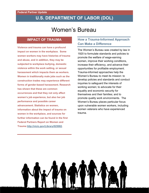# Women's Bureau

## **IMPACT OF TRAUMA**

**Violence and trauma can have a profound impact on women in the workplace. Some women workers may have histories of trauma and abuse, and in addition, they may be subjected to workplace bullying, domestic violence within the work setting, or sexual harassment which impacts them as workers. Women in traditionally male jobs such as the construction trades may experience different forms of gender-based harassment. Research has shown that these are common occurrences and that they not only affect women's job experience, but also her job performance and possible career advancement. Statistics on women, information about the impact of trauma on women in the workplace, and sources for further information can be found in the first Federal Partners Report on Women and Trauma [http://nicic.gov/Library/025082.](http://nicic.gov/Library/025082)** 

## **How a Trauma-Informed Approach Can Make a Difference**

The Women's Bureau was created by law in 1920 to formulate standards and policies to promote the welfare of wage-earning women, improve their working conditions, increase their efficiency, and advance their opportunities for profitable employment. Trauma-informed approaches help the Women's Bureau to meet its mission: to develop policies and standards and conduct inquiries to safeguard the interests of working women; to advocate for their equality and economic security for themselves and their families; and to promote quality work environments. The Women's Bureau places particular focus upon vulnerable women workers, including women veterans who have experienced trauma.

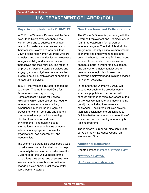### **Major Accomplishments 2010-2013**

In 2010, the Women's Bureau held the firstever Stand Down events for homeless women veterans to address the unique needs of homeless women veterans and their families. Women-to-women Stand Down events help women veterans who are homeless and those at risk for homelessness to regain stability and sustainability for themselves and their families. The focus is on providing women veterans services and engaging community-based resources that integrate housing, employment support and reintegration services.

In 2011, the Women's Bureau released the publication Trauma-Informed Care for Women Veterans Experiencing Homelessness: A Guide for Service Providers, which underscores the need to recognize how trauma from military experiences impacts the reintegration process for women veterans and offers a comprehensive approach for creating effective trauma-informed care environments. The guide includes information on the experiences of women veterans, a step-by-step process for organizational self-assessment, and resource lists.

The Women's Bureau also developed a webbased training curriculum designed to help community-based service providers use the Guide to meet the unique needs of the populations they serve, and assesses how service providers use this information to change policies and/or practices to better serve women veterans.

### **New Directions and Collaborations**

The Women's Bureau is partnering with the Veterans Employment and Training Service (VETS) to establish a formal women veterans program. The first of its kind, this program will identify distinct women veteran economic and employment needs, and determine how to maximize DOL resources to meet these needs. This initiative will engage experts in workforce development and on women employment issues to develop a strategic plan focused on improving employment and training services for women veterans.

In the future, the Women's Bureau will expand outreach to the broader woman veterans' population. The Bureau will conduct outreach to raise awareness of the challenges women veterans face in finding good jobs, including trauma-related challenges. The Bureau will also provide technical assistance to organizations to facilitate better recruitment and retention of women veterans in employment or in job training programs.

The Women's Bureau will also continue to serve on the White House Council on Women and Girls.

### **Additional Resources**

Update contact: [thompson.tonya@dol.gov](mailto:thompson.tonya@dol.gov) 

<http://www.dol.gov/wb/>

<http://www.dol.gov/wb/trauma/>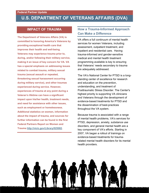## **U.S. DEPARTMENT OF VETERANS AFFAIRS (DVA)**

## **IMPACT OF TRAUMA**

**The Department of Veterans Affairs (VA) is committed to honoring America's Veterans by providing exceptional health care that improves their health and well-being. Veterans may experience trauma prior to, during, and/or following their military service, making it an issue of key concern for VA. VA has a special emphasis on addressing issues related to combat trauma, military sexual trauma (sexual assault or repeated, threatening sexual harassment occurring during military service), and other traumas experienced during service. However, experiences of trauma at any point during a Veteran's lifetime can have a significant impact upon his/her health, treatment needs, and need for assistance with other issues, such as employment or homelessness. Additional statistics on women, information about the impact of trauma, and sources for further information can be found in the first Federal Partners Report on Women and Trauma [http://nicic.gov/Library/025082.](http://nicic.gov/Library/025082)** 

## **How a Trauma-Informed Approach Can Make a Difference**

VA offers a full continuum of mental health services for women Veterans, including assessment, outpatient treatment, and inpatient and residential care. Having trauma-informed and gender-sensitive medical and mental health treatment programming available is key to ensuring that Veterans' needs secondary to trauma are adequately addressed.

The VA's National Center for PTSD is a longstanding center of excellence for research and education on the prevention, understanding, and treatment of Posttraumatic Stress Disorder. The Center's highest priority is supporting VA clinicians and Veterans through the development of evidence-based treatments for PTSD and the dissemination of best-practices throughout the VA system.

Because trauma is associated with a range of mental health problems, VA's services for PTSD, depression, anxiety, substance use disorders, and general mental health are a key component of VA's efforts. Starting in 2007, VA began a rollout of trainings on evidence-based treatments for traumarelated mental health disorders for its mental health providers.

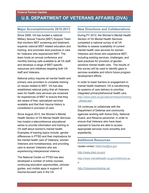## **U.S. DEPARTMENT OF VETERANS AFFAIRS (DVA)**

### **Major Accomplishments 2010-2013**

Since 2006, VA has funded a national Military Sexual Trauma (MST) Support Team that monitors MST screening and treatment, expands national MST-related education and training, and promotes best practices in care for Veterans who experienced MST. The team hosts an annual conference and monthly training calls available to all VA staff, and develops a range of MST-specific resources and initiatives targeting both VA staff and Veterans.

National policy requires all mental health and primary care providers to complete training on issues related to MST. VA has also established national policy that all Veterans seen for health care services are screened for experiences of MST to ensure that they are aware of free, specialized services available and that their trauma history is considered in provision of care.

Since August 2012, the Women's Mental Health Section of VA Mental Health Services has hosted a teleconference educational series to provide information and training to VA staff about women's mental health. Examples of training topics include: gender differences in PTSD and their implications for the mental health care of Veterans; women Veterans and homelessness; and providing care to women Veterans who are experiencing interpersonal violence.

The National Center on PTSD has also developed a number of online courses, continuing education opportunities, clinician guides, and mobile apps in support of trauma-focused care in the VA.

### **New Directions and Collaborations**

During FY 2012, the Women's Mental Health Section of VA Mental Health Services completed a national survey of all VA facilities to assess availability of current mental health care services for women Veterans and those who experience MST, including existing services, challenges, and best practices for provision of gendersensitive mental health care. The results of this survey will be used to identify gaps in services available and inform future program development efforts.

In order to lower barriers to engagement in mental health treatment, VA is transforming its systems of care delivery to prioritize integrated primary/behavioral health care [http://www.ptsd.va.gov/about/mission/looking](http://www.ptsd.va.gov/about/mission/looking_ahead.asp) [\\_ahead.asp](http://www.ptsd.va.gov/about/mission/looking_ahead.asp) .

VA continues to collaborate with the Department of Defense and community agencies working with Active Duty, National Guard, and Reserve personnel, in order to ensure that Veterans who have been exposed to trauma are able to access appropriate services more smoothly and expediently.

### **Additional Resources**

Update contact: [Heidi.Kar@va.gov](mailto:Heidi.Kar@va.gov) 

<http://www.ptsd.va.gov/>

[http://www.mentalhealth.va.gov/msthome.as](http://www.mentalhealth.va.gov/msthome.asp) [p](http://www.mentalhealth.va.gov/msthome.asp) 

[http://Veteranscrisisline.net](http://veteranscrisisline.net/)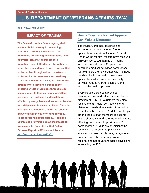## **U.S. DEPARTMENT OF VETERANS AFFAIRS (DVA)**

[http://vaww.mst.va.gov](http://vaww.mst.va.gov/)

### **IMPACT OF TRAUMA**

**The Peace Corps is a federal agency that works to build capacity in developing countries. Currently 8,073 Peace Corps Volunteers are serving 27-month tours in 76 countries. Trauma can impact both Volunteers and staff, who may be victims of crime, be exposed to civil unrest and political violence, live through natural disasters, or suffer accidents. Volunteers and staff may suffer vicarious trauma living in post-conflict nations where they are exposed to the lingering effects of violence through close association with their communities. Other personnel may witness the devastating effects of poverty, famine, disease, or disaster on a daily basis. Because the Peace Corps is a tight-knit community, trauma that directly impacts a staff member or Volunteer may ripple across the entire agency. Additional sources of information about the impact of trauma can be found in the first Federal Partners Report on Women and Trauma [http://nicic.gov/Library/025082.](http://nicic.gov/Library/025082)** 

## **How a Trauma-Informed Approach Can Make a Difference**

The Peace Corps has designed and implemented a new trauma-informed approach to care. As of October 2012, all Peace Corps medical officers have received clinically accredited training on traumainformed care at Peace Corps annual continuing medical education conferences. All Volunteers are now treated with methods consistent with trauma-informed care approaches, which improve the quality of services, reduce re-traumatization, and support the healing process.

Every Peace Corps post provides comprehensive medical services under the direction of PCMOs. Volunteers may also receive mental health services via long distance or medical evacuation from trained mental health clinicians. PCMOs are always among the first staff members to become aware of assaults and other traumatic events affecting Volunteers. Approximately 70 percent of the PCMOs are physicians; the remaining 30 percent are physicians' assistants, nurse practitioners, or registered nurses. The PCMOs are supervised by regional and headquarters-based physicians in Washington, D.C.

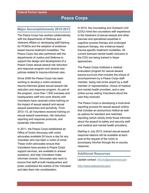## **Peace Corps**

### **Major Accomplishments 2010-2013**

The Peace Corps has worked collaboratively with the departments of Defense and Veterans Affairs on developing staff training for PCMOs and the adoption of evidencebased trauma treatment modalities. The Peace Corps has also partnered with the departments of Justice and Defense to support the design and development of a Peace Corps sexual assault risk reduction and response program and several new policies related to trauma-informed care.

Since 2008 the Peace Corps has been working to develop a victim-centered, trauma-informed global sexual assault risk reduction and response program. As part of the program, more than 1,500 overseas and headquarters staff who work directly with Volunteers have received online training on the impact of sexual assault and sexual assault awareness and sensitivity. From 2012–13, all Volunteers received training on sexual assault awareness, risk reduction, reporting and response protocols, and bystander intervention.

In 2011, the Peace Corps established an Office of Victim Advocacy with victim advocates available 24 hours a day for any Volunteer who has been a victim of crime. These victim advocates ensure that Volunteers have access to Peace Corps support services, are available to answer questions, and help Volunteers make informed choices. Advocates also work to ensure that staff at both headquarters and posts understand the wishes of the Volunteer and take them into consideration.

In 2012, the Counseling and Outreach Unit (COU) hired two counselors with experience in the treatment of sexual assault and other traumas and specialized expertise in cognitive process therapy and prolonged exposure therapy, two evidence-based trauma-specific treatment modalities. All current licensed mental health clinicians in the COU are being trained in these approaches.

The Peace Corps instituted a medical evacuation program for sexual assault trauma survivors that includes the choice of accompaniment by a Peace Corps staff member, being met at the airport by a staff member or representative, choice of medical and mental health providers, and a new online survey asking Volunteers about the care they received.

The Peace Corps is developing a multi-level reporting process for sexual assault victims that includes an anonymous hotline as well as options for standard and restricted reporting (which strictly limits those informed about the assault to safety and security staff and medical and mental health providers).

Starting in July 2013, trained sexual assault response liaisons will be available at each post at the request of the victim to accompany him/her through the in-country response.

### **Additional Resources**

Update contact: [CKuric@peacecorps.gov](mailto:CKuric@peacecorps.gov) 

<http://www.peacecorps.gov/>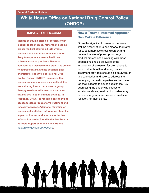## **White House Office on National Drug Control Policy (ONDCP)**

### **IMPACT OF TRAUMA**

**Victims of trauma often self-medicate with alcohol or other drugs, rather than seeking proper medical attention. Furthermore, women who experience trauma are more likely to experience mental health and substance abuse problems. Because addiction is a disease of the brain, it is critical to address trauma and its psychological aftereffects. The Office of National Drug Control Policy (ONCDP) recognizes that women trauma survivors may feel inhibited from sharing their experiences in group therapy sessions with men, or may be retraumatized in such intimate settings. In response, ONDCP is focusing on expanding access to gender-responsive treatment and recovery services. Additional statistics on women and addiction, information about the impact of trauma, and sources for further information can be found in the first Federal Partners Report on Women and Trauma**  <http://nicic.gov/Library/025082>**.** 

## **How a Trauma-Informed Approach Can Make a Difference**

Given the significant correlation between lifetime history of drug and alcohol-facilitated rape, posttraumatic stress disorder, and nonmedical use of prescription drugs, medical professionals working with these populations should be aware of the importance of screening for drug abuse to avoid further health and safety issues. Treatment providers should also be aware of this connection and seek to address the underlying traumatic experiences that have led their patients to abuse substances. By addressing the underlying causes of substance abuse, treatment providers may experience greater successes in sustained recovery for their clients.

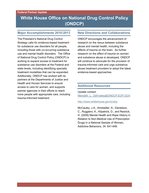## **White House Office on National Drug Control Policy (ONDCP)**

### **Major Accomplishments 2010-2013**

The President's National Drug Control Strategy calls for evidence-based treatment for substance use disorders for all people, including those with co-occurring substance use and mental health disorders. The Office of National Drug Control Policy (ONDCP) is working to expand access to treatment for substance use disorders at the Federal and state levels, including identifying specialty treatment modalities that can be expanded. Additionally, ONDCP has worked with its partners at the Departments of Justice and Health and Human Services to ensure access to care for women, and supports partner agencies in their efforts to reach more people with appropriate care, including trauma-informed treatment.

### **New Directions and Collaborations**

ONDCP encourages the advancement of research on the nexus between substance abuse and mental health, including the effects of trauma on the brain. As further research on the effect of trauma on women and substance abuse is developed, ONDCP will continue to advocate for the provision of trauma-informed care and urge substance abuse treatment providers to adopt the latest evidence-based approaches.

### **Additional Resources**

Update contact:

Meredith L. DeFraites@ONDCP.EOP.GOV

### <http://www.whitehouse.gov/ondcp>

McCauley, J.A., Amstadter, A., Danielson, C., Ruggiero, K., Kilpatrick, D., and Resnick, H. (2009) Mental Health and Rape History in Relation to Non-Medical Use of Prescription Drugs in a National Sample of Women, Addictive Behaviors, 34: 641-648.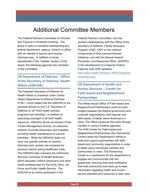# Additional Committee Members

The Federal Partners Committee on Women and Trauma is constantly evolving. The group is open to members representing any federal department, agency, division or office with an interest in trauma and traumainformed care. In addition to those represented in the "Update" section of this report, the following agencies are members of the committee.

## **US Department of Defense – Office of the Secretary of Defense, Health Affairs (ASD-HA)**

The Assistant Secretary of Defense for Health Affairs is chartered under United States Department of Defense Directive 5136.1, which states that the ASD(HA) is the principal advisor to the U.S. Secretary of Defense on all "DoD health policies, programs and activities." In addition to exercising oversight of all DoD health resources, ASD(HA) serves as director of the Tricare Management Activity, an extensive network of private physicians and hospitals providing health maintenance to service members. While the ASD(HA) does not have any specific policies on traumainformed care, women are screened for previous trauma during healthcare visits. The ASD(HA) also oversees the Uniformed Services University of Health Sciences, which educates uniform physicians and other health professionals for the Army, Navy, Air Force and Public Health Service. The ASD(HA) is an active participant in the

Federal Partners Committee, and has worked collaboratively with the Office of the Secretary of Defense, Family Advocacy Program (OSD, FAP) on the medical components of their trauma-informed initiatives, and with the Sexual Assault Prevention and Response Office (SAPRO) in the development of a Special Victim's Capacity (see DOD updates). [http://www.health.mil/About\\_MHS/Organizati](http://www.health.mil/About_MHS/Organizations/Index.aspx) [ons/Index.aspx](http://www.health.mil/About_MHS/Organizations/Index.aspx) 

## **US Department of Health and Human Services – Center for Faith-based and Neighborhood Partnerships**

The White House Office of Faith-based and Neighborhood Partnerships works to build bridges between the federal government and nonprofit organizations, both secular and faith-based, to better serve Americans in need. The Office advances this work through Centers in various Federal agencies. The HHS Center for Faith-based and Neighborhood Partnerships (the Partnership Center) leads the Department's efforts to build and support partnerships with faithbased and community organizations in order to better serve individuals, families and communities in need. The Partnership Center is a mechanism for the department to engage and communicate with the grassroots, ensuring that local institutions that hold community trust have up-to-date information regarding health and human service activities and resources in their area.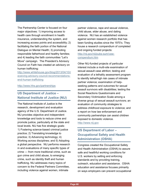The Partnership Center is focused on four major objectives: 1) improving access to health care through enrollment in health insurance, understanding the system, and increasing access points and accessibility; 2) facilitating the faith portion of the National Dialogue on Mental Health; 3) promoting responsible fatherhood and healthy families; and 4) leading the faith communities "Let's Move" campaign. The President's Advisory Council on Faith has created an advisory on human trafficking:

[http://www.whitehouse.gov/blog/2013/04/10/r](http://www.whitehouse.gov/blog/2013/04/10/receiving-advisory-council-recommendations-end-human-trafficking) [eceiving-advisory-council-recommendations](http://www.whitehouse.gov/blog/2013/04/10/receiving-advisory-council-recommendations-end-human-trafficking)[end-human-trafficking](http://www.whitehouse.gov/blog/2013/04/10/receiving-advisory-council-recommendations-end-human-trafficking) 

### <http://www.hhs.gov/partnerships>

## **US Department of Justice – National Institute of Justice (NIJ)**

The National Institute of Justice is the research, development and evaluation agency of the U.S. Department of Justice. NIJ provides objective and independent knowledge and tools to reduce crime and promote justice, particularly at the state and local levels. NIJ has five strategic goals: 1) Fostering science-based criminal justice practice; 2) Translating knowledge to practice; 3) Advancing technology; 4) Working across disciplines; and 5) Adopting a global perspective. NIJ performs research in and evaluations of many specific types of crime — from more traditional crime, such as gun crime and child abuse, to emerging crime, such as identity theft and human trafficking. NIJ addresses many topics of concern to the Federal Partners Committee, including violence against women, intimate

partner violence, rape and sexual violence, child abuse, elder abuse, and dating violence. NIJ has an established violence against women research portfolio that has been funding studies since the 1970's. They house a research compendium of completed and ongoing funded projects: [http://nij.gov/nij/pubs-sum/vaw](http://nij.gov/nij/pubs-sum/vaw-compendium.htm)[compendium.htm](http://nij.gov/nij/pubs-sum/vaw-compendium.htm) 

Other NIJ-funded projects of particular interest include a multi-site examination of sexual assault case attrition; testing and evaluation of a lethality assessment program to identify lethal/high risk cases of intimate partner violence; examination of helpseeking patterns and outcomes for sexual assault survivors with disabilities; testing the Social Reactions Questionnaire and Secondary Victimization Scale among a diverse group of sexual assault survivors; an evaluation of community strategies to address childhood exposure to violence; and a report on how law enforcement and community partnerships can assist children exposed to domestic violence. [http://www.nij.gov](http://www.nij.gov/)

## **US Department of Labor – Occupational Safety and Health Administration (OSHA)**

Congress created the Occupational Safety and Health Administration (OSHA) to assure safe and healthful working conditions for U.S. workers by setting and enforcing standards and by providing training, outreach, education and assistance. OSHA education and assistance focuses primarily on ways employers can prevent occupational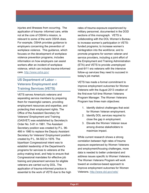injuries and illnesses from occurring. The application of trauma- informed care, while not at the core of OSHA's mission, is relevant to some of the work OSHA does. For example, OSHA provides guidance to employers concerning the prevention of workplace violence. This guidance, which focuses on the development of workplace violence prevention programs, includes information on how employers can assist workers after an incident of workplace violence, which can include trauma-informed care.<http://www.osha.gov/>

## **US Department of Labor – Veterans Employment and Training Services (VETS)**

VETS serves America's veterans and separating service members by preparing them for meaningful careers, providing employment resources and expertise, and protecting their employment rights. The Office of the Assistant Secretary for Veterans' Employment and Training (OASVET) was established by Secretary's Order No. 5-81 in 1981. The Assistant Secretary position was created by P.L. 96- 466 in 1980 to replace the Deputy Assistant Secretary for Veterans' Employment position created by P.L. 94-502 in 1976. The bipartisan Congressional intent was to establish leadership of the Department's programs for services to veterans at the policy-making level, and help to ensure that Congressional mandates for effective job training and placement services for eligible veterans are carried out by DOL. The application of trauma-informed practice is essential to the work of VETS due to the high

rates of trauma exposure experienced by military personnel, documented in the DOD sections of this monograph. VETS is collaborating with the DOL Women's Bureau to increase women's participation in VETSfunded programs; to increase women's reintegration into the workforce; and to promote programs for women veteran and service providers, including a joint effort of the Employment and Training Administration (ETA) and VETS to provide unemployed post-9/11 era veterans with the intensive follow-up services they need to succeed in today's job market.

VETS has made a formal commitment to improve employment outcomes for Women Veterans with the August 2013 creation of the first-ever full time Women Veterans Program Manager. The Women Veterans Program has three main objectives:

- 1. Identify distinct challenges that exist for Women Veteran employment.
- 2. Identify DOL services required to close the gap in employment.
- 3. Elevate the Women Veteran issue among diverse stakeholders to maximize impact.

While current research shows a strong correlation between high rates of trauma exposure experienced by Women Veterans and employment/housing challenges, more data is needed to better understand and address issues specific to Women Veterans. The Women Veterans Program will work toward an evidence-based approach to improve employment outcomes for Women Veterans.<http://www.dol.gov/vets/>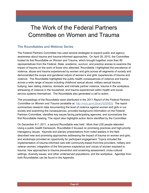# The Work of the Federal Partners Committee on Women and Trauma

## **The Roundtables and Webinar Series**

The Federal Partners Committee has used several strategies to expand public and agency awareness about trauma and trauma-informed approaches. On April 29, 2010, the Committee hosted its first Roundtable on Women and Trauma, which brought together more than 80 representatives from the Federal, State, academic, survivor, and practice arenas to examine the impact of trauma on the work of those who attended. Roundtable I highlighted the prevalence of violence, abuse and trauma experienced by women and girls across all segments of society and demonstrated the scope and gendered nature of women's and girls' experiences of trauma and violence. The Roundtable highlighted the public health consequences of violence and trauma across a wide range of issues including childhood sexual abuse, military sexual trauma, bullying, teen dating violence, domestic and intimate partner violence, trauma in the workplace, witnessing of violence in the household, and trauma experienced within health and social service systems themselves. The Roundtable also generated a call to action.

The proceedings of the Roundtable were distributed in the *2011 Report of the Federal Partners Committee on Women and Trauma* (available at: http://nicic.gov/Library/025082). The report summarizes research data documenting the level of violence against women and girls in our society and examining the consequences, provides background information on the Federal Partners Committee, identifies key issues facing participating agencies, and summarizes the first Roundtable meeting. The report also highlights action items identified by the Committee.

On December 6-7, 2011, a second Roundtable was held. More than 230 people attended. Using a public health framework, Roundtable II focused on promising practices and high-priority interagency issues. Keynote and plenary presentations from noted leaders in the field described new and promising approaches addressing the impact of trauma on women and girls, and workshops provided an opportunity for participant engagement. Topics included the implementation of trauma-informed care with community-based front-line providers; military and veteran women; integration of the first-person experience and voices of women exposed to trauma; new approaches to trauma prevention and screening assessment; cross-cultural settings, diversity issues, and other underserved populations; and the workplace. Agendas from both Roundtables can be found in the Appendix.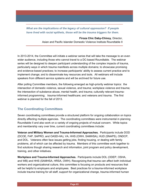*What are the implications of the legacy of cultural oppression? If people have lived with racial epithets, those will be the trauma triggers for them.* 

> **Firoza Chic Daby-Chinoy**, Director, Asian and Pacific Islander Domestic Violence Institute Roundtable II

In 2013-2014, the Committee will initiate a webinar series that will take the message to an even wider audience, including those who cannot travel to a DC-based Roundtable. The webinar series will be designed to deepen participant understanding of the complex impacts of trauma, particularly ways in which trauma manifests across multiple domains; to showcase promising and evidence-based practices; to increase participants' ability to assess current practice and to implement change; and to disseminate key resources and tools. All webinars will include speakers from different service systems and will be archived for future use.

After polling Committee members, the following emerged as high-priority webinar topics: the intersection of domestic violence, sexual violence, and trauma; workplace violence and trauma; the intersection of substance abuse, mental health, and trauma; culturally relevant traumainformed programming; trauma-Informed healthcare; and veterans and trauma. The first webinar is planned for the fall of 2013.

## **The Coordinating Committees**

Seven coordinating committees provide a structured platform for ongoing collaboration on topics directly affecting multiple agencies. The coordinating committees were instrumental in planning Roundtable II and also work on a variety of ongoing projects of mutual concern. While topics and membership vary over time, current coordinating committees include:

**Veteran and Military Women and Trauma-Informed Approaches.** Participants include DOD (DCOE, FAP, SAPRO, and OASD-HA), VA, HHS (OWH, SAMHSA), HUD (SNAPS), ONDCP, and DOL. Veterans often face issues getting jobs, finding housing, or dealing with family problems, all of which can be affected by trauma. Members of this committee work together to find solutions though sharing research and information, joint program and policy development, training, and other initiatives.

**Workplace and Trauma-Informed Approaches.** Participants include DOL (ODEP, OSHA, and WB) and HHS (SAMHSA, HRSA, OWH). Recognizing that trauma can affect both individual workers and organizational culture, this committee is focusing on products and resources that will be helpful to employers and employees. Best practices for a trauma-informed workplace include trauma training for all staff, support for organizational change, trauma-informed human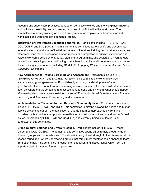resource and supervisory practices, policies on domestic violence and the workplace, linguistic and cultural accessibility, and addressing sources of conflict within the workplace. The committee is currently working on a short policy memo for employers on trauma-informed workplaces and workforce development systems.

**Integration of First Person Experience and Voice.** Participants include HHS (SAMHSA), DOL (ODEP) and DOJ (OVC). The mission of this committee is: to identify and disseminate federal/state/local and nonprofit initiatives, research literature, training, technical assistance, and other resources that address peer-support models and integration of survivor experience and voice in workforce development, policy, planning, programming, and evaluation. Work to date has included assisting other coordinating committees to identify and integrate survivor voice and disseminating key resources, including SAMHSA's *Engaging Women in Trauma-Informed Peer Support: A Guidebook*.

**New Approaches to Trauma Screening and Assessment.** Participants include HHS (SAMHSA, OWH, ACF), and DOJ (NIC, OJJDP). This committee is working towards accomplishing goals generated at Roundtable II, including the development of a set of guidelines for the field about trauma screening and assessment. Guidelines will address issues such as: where should screening and assessment be done and by whom; what should happen afterwards; what tools currently exist; etc. A set of "Frequently Asked Questions about Trauma Screening and Assessment" is currently under development.

**Implementation of Trauma-Informed Care with Community-based Providers.** Participants include HHS (ACYF, OWH) and HUD. This committee is moving beyond the health and human service systems to support the application of trauma-informed approaches by front-line providers, with a particular emphasis on resilience. A curriculum on trauma and women's health issues, developed by HHS (OWH and SAMHSA) and currently being pilot tested, is an outgrowth of this committee.

**Cross-Cultural Settings and Diversity Issues.** Participants include HHS (ACF), Peace Corps, and DOL (ODEP). The domain of this committee spans an extremely broad range of different groups and circumstances. This diversity brought real strength to the discussion at the second roundtable, where underserved groups that rarely meet together had a chance to learn from each other. The committee is focusing on education and justice issues which form an important part of trauma-informed approaches.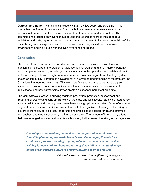**Outreach/Promotion.** Participants include HHS (SAMHSA, OWH) and DOJ (NIC). This committee was formed in response to Roundtable II, as members became aware of the increasing demand in the field for information about trauma-informed approaches. The committee has focused on ways to move beyond the federal partners to include federal legislators and state, regional, territorial and community partners; to increase the visibility of the issue through media exposure; and to partner with community-based and faith-based organizations and individuals with the lived experience of trauma.

### **Conclusion**

The Federal Partners Committee on Women and Trauma has played a pivotal role in highlighting the scope of the problem of violence against women and girls. More importantly, it has championed emerging knowledge, innovations, strategies, practices and collaborations to address these problems through trauma-informed approaches, regardless of setting, system, sector, or community. Through its development of a common understanding of the problem, the Committee has opened new doors. This work has far-reaching impact, as grant programs stimulate innovation in local communities, new tools are made available for a variety of applications, and new partnerships devise creative solutions to persistent problems.

The Committee's success in bringing together, prevention, promotion, assessment and treatment efforts is stimulating similar work at the state and local levels. Statewide interagency trauma task forces and steering committees have sprung up in many states. Other efforts have begun at the county and municipal levels. Each effort is organized differently, but all bring new players to the table, develop local leadership and broad-based support for trauma-informed approaches, and create synergy by working across silos. The number of interagency efforts that have emerged in states and localities is testimony to the power of working across agencies.

*One thing was immediately self-evident: no organization would ever be "done" implementing trauma-informed care. Once begun, it would be a continuous process requiring ongoing reflection on practices and policies, training for new staff and boosters for long-time staff, and an attentive eye on the organization's culture to prevent returning to prior practices.*

> **Valorie Carson**, Johnson County (Kansas) Interagency Trauma-Informed Care Task Force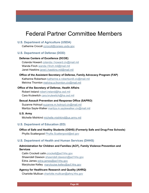# Federal Partner Committee Members

### **U.S. Department of Agriculture (USDA)**

Catherine Crocoll ccrocoll@csrees.usda.gov

### **U.S. Department of Defense (DOD)**

### **Defense Centers of Excellence (DCOE)**

Colanda Howard colanda.r.howard.civ@mail.mil Wanda Finch wanda.l.finch.mil@mail.mil Janet Hawkins janet.l.hawkins.mil@mail.mil

### **Office of the Assistant Secretary of Defense, Family Advocacy Program (FAP)**

Katherine Robertson katherine.e.robertson8.civ@mail.mil Melvina Thornton melvina.a.thornton.civ@mail.mil

### **Office of the Secretary of Defense, Health Affairs**

Robert Ireland robert.ireland@ha.osd.mil Cara Krulewitch cara.krulewitch@ha.osd.mil

### **Sexual Assault Prevention and Response Office (SAPRO)**

Suzanne Holroyd suzanne.m.holroyd.civ@mail.mil Maritza Sayle-Walker maritza.m.saylewalker.civ@mail.mil

### **U.S. Army**

Michelle Mishkind michelle.mishkind@us.army.mil

### **U.S. Department of Education (ED)**

### **Office of Safe and Healthy Students (OSHS) (Formerly Safe and Drug-Free Schools)** Phyllis Scattergood Phyllis.Scattergood@ed.gov

#### **U.S. Department of Health and Human Services (DHHS)**

### **Administration for Children and Families (ACF), Family Violence Prevention and Services**

Cailin Crockett cailin.crockett@acf.hhs.gov Shawndell Dawson shawndell.dawson@acf.hhs.gov Edna James edna.james@acf.hhs.gov Marylouise Kelley marylouise.kelley@acf.hhs.gov

#### **Agency for Healthcare Research and Quality (AHRQ)**

Charlotte Mullican charlotte.mullican@ahrq.hhs.gov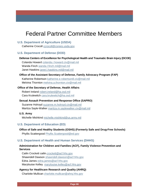# Federal Partner Committee Members

### **U.S. Department of Agriculture (USDA)**

Catherine Crocoll ccrocoll@csrees.usda.gov

### **U.S. Department of Defense (DOD)**

### **Defense Centers of Excellence for Psychological Health and Traumatic Brain Injury (DCOE)**

Colanda Howard colanda.r.howard.civ@mail.mil Wanda Finch wanda.l.finch.mil@mail.mil Janet Hawkins janet.l.hawkins.mil@mail.mil

#### **Office of the Assistant Secretary of Defense, Family Advocacy Program (FAP)**

Katherine Robertson katherine.e.robertson8.civ@mail.mil Melvina Thornton melvina.a.thornton.civ@mail.mil

#### **Office of the Secretary of Defense, Health Affairs**

Robert Ireland robert.ireland@ha.osd.mil Cara Krulewitch cara.krulewitch@ha.osd.mil

### **Sexual Assault Prevention and Response Office (SAPRO)**

Suzanne Holroyd suzanne.m.holroyd.civ@mail.mil Maritza Sayle-Walker maritza.m.saylewalker.civ@mail.mil

### **U.S. Army**

Michelle Mishkind michelle.mishkind@us.army.mil

### **U.S. Department of Education (ED)**

## **Office of Safe and Healthy Students (OSHS) (Formerly Safe and Drug-Free Schools)**

Phyllis Scattergood Phyllis.Scattergood@ed.gov

### **U.S. Department of Health and Human Services (DHHS)**

### **Administration for Children and Families (ACF), Family Violence Prevention and Services**

Cailin Crockett cailin.crockett@acf.hhs.gov Shawndell Dawson shawndell.dawson@acf.hhs.gov Edna James edna.james@acf.hhs.gov Marylouise Kelley marylouise.kelley@acf.hhs.gov

### **Agency for Healthcare Research and Quality (AHRQ)**

Charlotte Mullican charlotte.mullican@ahrq.hhs.gov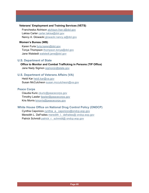### **Veterans' Employment and Training Services (VETS)**

Francheska Atchison atchison.fran.t@dol.gov Lakisa Carter carter.lakisa@dol.gov Nancy A. Glowacki glowacki.nancy.a@dol.gov

### **Women's Bureau (WB)**

Karen Furia furia.karen@dol.gov Tonya Thompson thompson.tonya@dol.gov Jane Walstedt walstedt.jane@dol.gov

### **U.S. Department of State**

 **Office to Monitor and Combat Trafficking in Persons (TIP Office)** Jane Nady Sigmon sigmonjn@state.gov

### **U.S. Department of Veterans Affairs (VA)**

Heidi Kar heidi.kar@va.gov Susan McCutcheon susan.mccutcheon@va.gov

### **Peace Corps**

Claudia Kuric ckuric@peacecorps.gov Timothy Lawler tlawler@peacecorps.gov Kris Morris kmorris@peacecorps.gov

### **White House Office on National Drug Control Policy (ONDCP)**

Cynthia Caporizzo cynthia\_a.\_caporizzo@ondcp.eop.gov Meredith L. DeFraites meredith I. defraites@ ondcp.eop.gov Patrick Schmidt patrick\_r.\_schmidt@ ondcp.eop.gov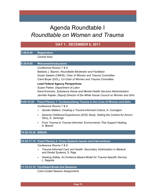# Agenda Roundtable I *Roundtable on Women and Trauma*

|                   | <b>DAY 1: DECEMBER 6, 2011</b>                                                                                                                                                                                                            |
|-------------------|-------------------------------------------------------------------------------------------------------------------------------------------------------------------------------------------------------------------------------------------|
| 7:45-8:30         | <b>Registration</b>                                                                                                                                                                                                                       |
|                   | <b>Central Area</b>                                                                                                                                                                                                                       |
| $8:30 - 9:05$     | <b>Welcome/Introductions</b>                                                                                                                                                                                                              |
|                   | Conference Rooms 7 & 8<br>Barbara J. Bazron, Roundtable Moderator and Facilitator<br>Susan Salasin (CMHS), Chair of Women and Trauma Committee<br>Carol Boyer (DOL), Co-Chair of Women and Trauma Committee                               |
|                   | <b>Lead Federal Agency Perspectives</b><br>Susan Parker, Department of Labor<br>Kana Enomoto, Substance Abuse and Mental Health Services Administration<br>Jennifer Kaplan, Deputy Director of the White House Council on Women and Girls |
| 9:05-10:20        | Panel Plenary 1: Contextualizing Trauma in the Lives of Women and Girls                                                                                                                                                                   |
|                   | Conference Rooms 7 & 8                                                                                                                                                                                                                    |
|                   | Gender Matters: Creating a Trauma-Informed Culture, S. Covington                                                                                                                                                                          |
|                   | Adverse Childhood Experiences (ACE) Study: Setting the Context for Anna's<br>Story, A. Jennings                                                                                                                                           |
|                   | From Trauma to Trauma-Informed: Environments That Support Healing,<br>A. Blanch                                                                                                                                                           |
| 10:20-10:30 BREAK |                                                                                                                                                                                                                                           |
|                   |                                                                                                                                                                                                                                           |
|                   | 10:30-11:15 Panel Plenary 2: Cross Systems Issues and Interventions                                                                                                                                                                       |
|                   | Conference Rooms 7 & 8                                                                                                                                                                                                                    |
|                   | Trauma-Informed Care and Health: Secondary Victimization in Medical<br>and Dental Systems, S. Raja                                                                                                                                        |
|                   | Seeking Safety: An Evidence-Based Model for Trauma-Specific Service,<br>L. Najavits                                                                                                                                                       |

### **11:15-12:15 Facilitated Break-Out Sessions**

Color-Coded Session Assignments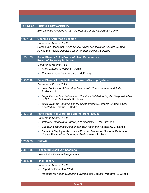## **12:15-1:00 LUNCH & NETWORKING**

*Box Lunches Provided in the Two Pantries of the Conference Center* 

| $1:00-1:25$   | <b>Opening of Afternoon Session</b>                                                                                              |
|---------------|----------------------------------------------------------------------------------------------------------------------------------|
|               | Conference Rooms 7 & 8                                                                                                           |
|               | Sarah Lynn Rosenthal, White House Advisor on Violence Against Women                                                              |
|               | A. Kathryn Power, Director Center for Mental Health Services                                                                     |
| $1:25-1:55$   | Panel Plenary 3: The Voice of Lived Experiences:<br><b>Power of Recovery In Action</b>                                           |
|               | Conference Rooms 7 & 8                                                                                                           |
|               | From Trauma to Healing, T. Cain                                                                                                  |
|               | Trauma Across the Lifespan, J. McKinney<br>$\bullet$                                                                             |
| 1:55-2:40     | <b>Panel Plenary 4: Implications for Youth-Serving Systems</b>                                                                   |
|               | Conference Rooms 7 & 8                                                                                                           |
|               | Juvenile Justice: Addressing Trauma with Young Women and Girls,<br>S. Gonsoulin                                                  |
|               | Legal Perspective: Policies and Practices Related to Rights, Responsibilities<br>$\bullet$<br>of Schools and Students, K. Bleyer |
|               | Child Welfare: Opportunities for Collaboration to Support Women & Girls<br>$\bullet$<br>Affected by Trauma, S. Cadiz             |
| 2:40-3:25     | <b>Panel Plenary 5: Workforce and Veterans' Issues</b>                                                                           |
|               | Conference Rooms 7 & 8                                                                                                           |
|               | Veterans' Issues and Pathways to Recovery, S. McCutcheon                                                                         |
|               | Triggering Traumatic Responses: Bullying in the Workplace, G. Namie<br>$\bullet$                                                 |
|               | Impact of Employee Assistance Program Models on Systems Reform to<br>$\bullet$                                                   |
|               | Create Trauma-Sensitive Work Environments, N. Pentz                                                                              |
| $3:25 - 3:35$ | <b>BREAK</b>                                                                                                                     |
|               |                                                                                                                                  |
| $3:35-4:35$   | <b>Facilitated Break-Out Sessions</b>                                                                                            |
|               | <b>Color-Coded Session Assignments</b>                                                                                           |
| 4:35-5:15     | <b>Final Plenary</b>                                                                                                             |
|               | Conference Rooms 7 & 8                                                                                                           |
|               | Report on Break-Out Work                                                                                                         |
|               | Mandate for Action Supporting Women and Trauma Programs, J. Gillece                                                              |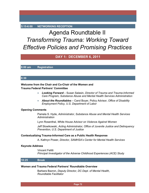### **5:15-6:00 NETWORKING RECEPTION**

# Agenda Roundtable II *Transforming Trauma: Working Toward Effective Policies and Promising Practices*

## **DAY 1: DECEMBER 6, 2011**

**8:00 am Registration** 

### **8:30**

### **Welcome from the Chair and Co-Chair of the Women and Trauma Federal Partners' Committee**

- *Looking Forward* Susan Salasin, *Director of Trauma and Trauma-Informed Care Program, Substance Abuse and Mental Health Services Administration*
- *About the Roundtables* Carol Boyer, Policy Advisor, *Office of Disability Employment Policy, U.S. Department of Labor*

### **Opening Comments**

Pamela S. Hyde, *Administrator, Substance Abuse and Mental Health Services Administration*

Lynn Rosenthal, *White House Advisor on Violence Against Women*

Jeff Slowikowski, *Acting Administrator, Office of Juvenile Justice and Delinquency Prevention, U.S. Department of Justice*

### **Contextualizing Trauma-Informed Care as a Public Health Response**

A. Kathryn Power, *Director, SAMHSA's Center for Mental Health Services*

#### **Keynote Address**

Vincent Felitti *Principal Investigator of the Adverse Childhood Experiences (ACE) Study*

### **10:25 Break**

### **Women and Trauma Federal Partners' Roundtable Overview**

Barbara Bazron, *Deputy Director, DC Dept. of Mental Health, Roundtable Facilitator*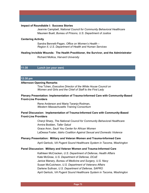#### **Impact of Roundtable I: Success Stories**

Jeannie Campbell, *National Council for Community Behavioral Healthcare* Maureen Buell, *Bureau of Prisons, U.S. Department of Justice*

#### **Centering Activity**

Sandra Bennett-Pagan, *Office on Women's Health – Region II, U.S. Department of Health and Human Services*

#### **Healing Invisible Wounds: The Health Practitioner, the Survivor, and the Administrator**

Richard Mollica, *Harvard University*

### **11:30 Lunch (on your own)**

#### **12:30 pm**

#### **Afternoon Opening Remarks**

Tina Tchen, *Executive Director of the White House Council on Women and Girls and the Chief of Staff to the First Lady*

### **Plenary Presentation: Implementation of Trauma-Informed Care with Community-Based Front-Line Providers**

Rene Anderson and Maria Taranjo-Rodman, *Western Massachusetts Training Consortium*

### **Panel Discussion: Implementation of Trauma-Informed Care with Community-Based Front-Line Providers**

Cheryl Sharp, *The National Council for Community Behavioral Healthcare* Annira Bodden, *Taller Salud* Grace Aron, *Sauti Yeu Center for African Women* LaDessa Foster, *Idaho Coalition Against Sexual and Domestic Violence*

#### **Plenary Presentation: Military and Veteran Women and Trauma-Informed Care**

April Gerlock, *VA Pugent Sound Healthcare System in Tacoma, Washington*

### **Panel Discussion: Military and Veteran Women and Trauma-Informed Care**

Kathleen McCracken, *U.S. Department of Defense, Health Affairs* Kate McGraw, *U.S. Department of Defense, DCoE* Janice Manary, *Bureau of Medicine and Surgery, U.S. Navy* Susan McCutcheon, *U.S. Department of Veterans Affairs* Darlene Sullivan, *U.S. Department of Defense, SAPRO* April Gerlock, *VA Pugent Sound Healthcare System in Tacoma, Washington*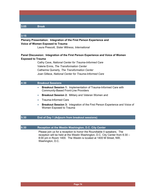### **3:05 Break**

#### **3:15**

**Plenary Presentation: Integration of the First Person Experience and Voice of Women Exposed to Trauma**

Laura Prescott, *Sister Witness, International*

### **Panel Discussion: Integration of the First Person Experience and Voice of Women Exposed to Trauma**

Cathy Cave, *National Center for Trauma-Informed Care* Valerie Ennis, *The Transformation Center* Catherine Quinerly, *The Transformation Center* Joan Gillece, *National Center for Trauma-Informed Care*

### **4:30 Breakout Sessions**

- **Breakout Session 1:** Implementation of Trauma-Informed Care with Community-Based Front-Line Providers
- **Breakout Session 2:** Military and Veteran Women and
- Trauma-Informed Care
- **Breakout Session 3:** Integration of the First Person Experience and Voice of Women Exposed to Trauma

### **5:30 End of Day 1 (Adjourn from breakout sessions)**

### **6:30 Reception at the Westin Washington, D.C. City Center**

Please join us for a reception to honor the Roundtable II speakers. The reception will be held at the Westin Washington, D.C. City Center from 6:30 – 8:00 pm in Room 1400. The Westin is located at 1400 M Street, NW, Washington, D.C.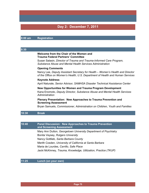# **Day 2: December 7, 2011**

### **8:00 am Registration**

# **8:30 Welcome from the Chair of the Women and Trauma Federal Partners' Committee** Susan Salasin, *Director of Trauma and Trauma-Informed Care Program, Substance Abuse and Mental Health Services Administration* **Opening Comments** Nancy Lee*, Deputy Assistant Secretary for Health – Women's Health and Director of the Office on Women's Health, U.S. Department of Health and Human Services* **Keynote Address**  April Naturale, *Senior Advisor, SAMHSA Disaster Technical Assistance Center* **New Opportunities for Women and Trauma Program Development** Kana Enomoto, *Deputy Director, Substance Abuse and Mental Health Services Administration* **Plenary Presentation: New Approaches to Trauma Prevention and Screening Assessment**

Bryan Samuels, *Commissioner, Administration on Children, Youth and Families*

## **10:30 Break**

## **10:40 Panel Discussion: New Approaches to Trauma Prevention and Screening Assessment** Mary Ann Dutton, *Georgetown University Department of Psychiatry* Bonita Veysey, *Rutgers University* Nancy Gottlieb, *Santa Barbara County*

Merith Cosden, *University of California at Santa Barbara*

Maria de Lourdes, *Carrillo, Safe Place*

Jacki McKinney, *Trauma, Knowledge, Utilization, Practice (TKUP)*

## **11:25 Lunch (on your own)**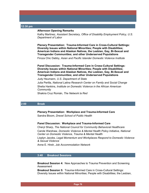#### **12:30 pm**

#### **Afternoon Opening Remarks**

Kathy Martinez, *Assistant Secretary, Office of Disability Employment Policy, U.S. Department of Labor*

**Plenary Presentation: Trauma-Informed Care in Cross-Cultural Settings: Diversity Issues within National Minorities; People with Disabilities; American Indians and Alaskan Natives, the Lesbian, Gay, Bi-Sexual and Transgender Communities; and other Underserved Populations** Firoza Chic Dabby, *Asian and Pacific Islander Domestic Violence Institute*

**Panel Discussion: Trauma-Informed Care in Cross-Cultural Settings: Diversity Issues within National Minorities; People with Disabilities; American Indians and Alaskan Natives, the Lesbian, Gay, Bi-Sexual and Transgender Communities; and other Underserved Populations** 

Judy Heumann, *U.S. Department of State* Julia Perilla, *National Latina Research Center on Family and Social Change* Shelia Hankins, *Institute on Domestic Violence in the African American Community* Shakira Cruz Román, *The Network la Red*

## **2:00 Break**

**Plenary Presentation: Workplace and Trauma-Informed Care** Sandra Bloom, *Drexel School of Public Health*

## **Panel Discussion: Workplace and Trauma-Informed Care**

Cheryl Sharp, *The National Council for Community Behavioral Healthcare* Carole Warshaw, *Domestic Violence & Mental Health Policy Initiative, National Center on Domestic Violence, Trauma & Mental Health*

Lisalyn Jacobs, *Legal Momentum and Workplaces Respond to Domestic Violence & Sexual Violence*

Anne E. Hirsh, *Job Accommodation Network*

## **3:40 Breakout Sessions**

**Breakout Session 4:** New Approaches to Trauma Prevention and Screening Assessment

**Breakout Session 5:** Trauma-Informed Care in Cross-Cultural Settings: Diversity Issues within National Minorities; People with Disabilities; the Lesbian,